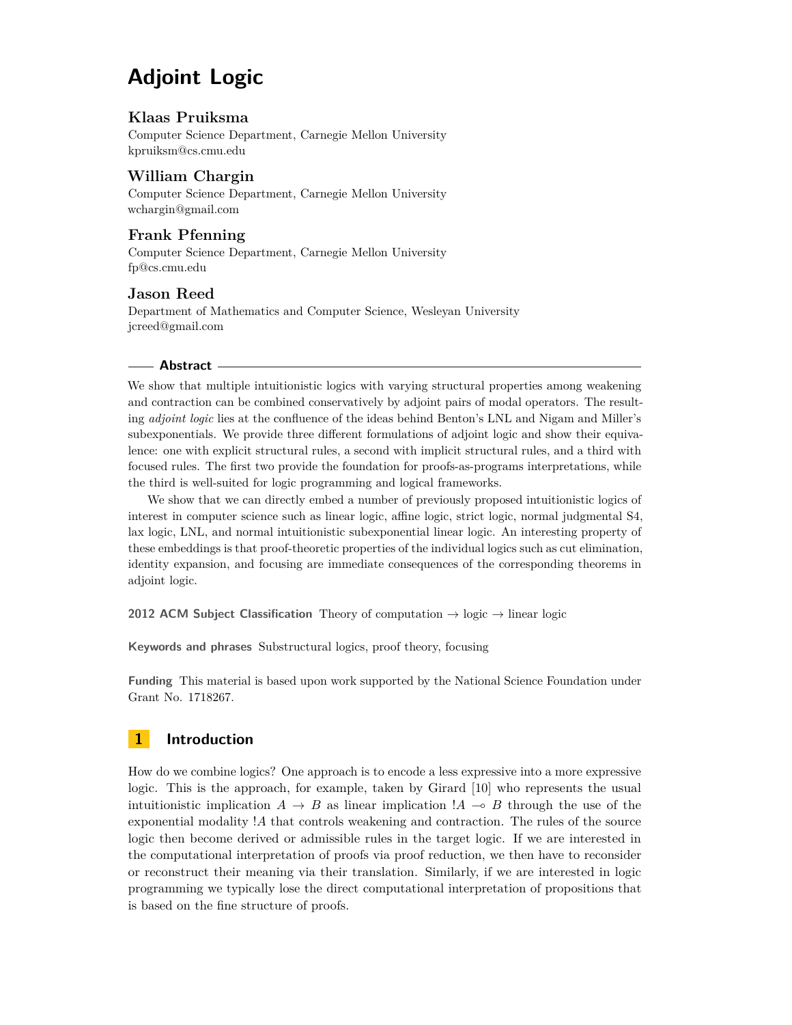# **Adjoint Logic**

#### **Klaas Pruiksma**

Computer Science Department, Carnegie Mellon University [kpruiksm@cs.cmu.edu](mailto:kpruiksm@cs.cmu.edu)

## **William Chargin**

Computer Science Department, Carnegie Mellon University [wchargin@gmail.com](mailto:wchargin@gmail.com)

### **Frank Pfenning**

Computer Science Department, Carnegie Mellon University [fp@cs.cmu.edu](mailto:fp@cs.cmu.edu)

#### **Jason Reed**

Department of Mathematics and Computer Science, Wesleyan University [jcreed@gmail.com](mailto:jcreed@gmail.com)

#### **Abstract**

We show that multiple intuitionistic logics with varying structural properties among weakening and contraction can be combined conservatively by adjoint pairs of modal operators. The resulting *adjoint logic* lies at the confluence of the ideas behind Benton's LNL and Nigam and Miller's subexponentials. We provide three different formulations of adjoint logic and show their equivalence: one with explicit structural rules, a second with implicit structural rules, and a third with focused rules. The first two provide the foundation for proofs-as-programs interpretations, while the third is well-suited for logic programming and logical frameworks.

We show that we can directly embed a number of previously proposed intuitionistic logics of interest in computer science such as linear logic, affine logic, strict logic, normal judgmental S4, lax logic, LNL, and normal intuitionistic subexponential linear logic. An interesting property of these embeddings is that proof-theoretic properties of the individual logics such as cut elimination, identity expansion, and focusing are immediate consequences of the corresponding theorems in adjoint logic.

**2012 ACM Subject Classification** Theory of computation → logic → linear logic

**Keywords and phrases** Substructural logics, proof theory, focusing

**Funding** This material is based upon work supported by the National Science Foundation under Grant No. 1718267.

## <span id="page-0-0"></span>**1 Introduction**

How do we combine logics? One approach is to encode a less expressive into a more expressive logic. This is the approach, for example, taken by Girard [\[10\]](#page-15-0) who represents the usual intuitionistic implication  $A \rightarrow B$  as linear implication  $A \rightarrow B$  through the use of the exponential modality !*A* that controls weakening and contraction. The rules of the source logic then become derived or admissible rules in the target logic. If we are interested in the computational interpretation of proofs via proof reduction, we then have to reconsider or reconstruct their meaning via their translation. Similarly, if we are interested in logic programming we typically lose the direct computational interpretation of propositions that is based on the fine structure of proofs.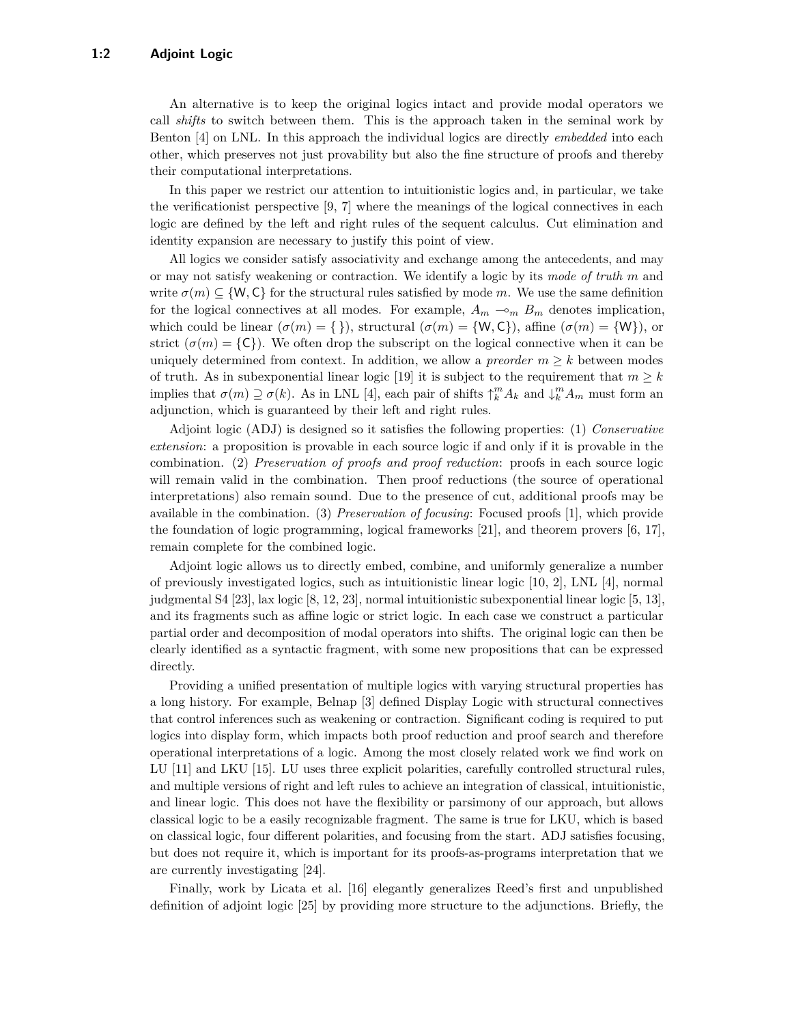An alternative is to keep the original logics intact and provide modal operators we call *shifts* to switch between them. This is the approach taken in the seminal work by Benton [\[4\]](#page-14-0) on LNL. In this approach the individual logics are directly *embedded* into each other, which preserves not just provability but also the fine structure of proofs and thereby their computational interpretations.

In this paper we restrict our attention to intuitionistic logics and, in particular, we take the verificationist perspective [\[9,](#page-15-1) [7\]](#page-15-2) where the meanings of the logical connectives in each logic are defined by the left and right rules of the sequent calculus. Cut elimination and identity expansion are necessary to justify this point of view.

All logics we consider satisfy associativity and exchange among the antecedents, and may or may not satisfy weakening or contraction. We identify a logic by its *mode of truth m* and write  $\sigma(m) \subseteq \{W, C\}$  for the structural rules satisfied by mode *m*. We use the same definition for the logical connectives at all modes. For example,  $A_m \sim_m B_m$  denotes implication, which could be linear  $(\sigma(m) = \{\})$ , structural  $(\sigma(m) = \{W, C\})$ , affine  $(\sigma(m) = \{W\})$ , or strict  $(\sigma(m) = {\{\mathsf{C}\}})$ . We often drop the subscript on the logical connective when it can be uniquely determined from context. In addition, we allow a *preorder*  $m \geq k$  between modes of truth. As in subexponential linear logic [\[19\]](#page-15-3) it is subject to the requirement that  $m \geq k$ implies that  $\sigma(m) \supseteq \sigma(k)$ . As in LNL [\[4\]](#page-14-0), each pair of shifts  $\uparrow_k^m A_k$  and  $\downarrow_k^m A_m$  must form an adjunction, which is guaranteed by their left and right rules.

Adjoint logic (ADJ) is designed so it satisfies the following properties: (1) *Conservative extension*: a proposition is provable in each source logic if and only if it is provable in the combination. (2) *Preservation of proofs and proof reduction*: proofs in each source logic will remain valid in the combination. Then proof reductions (the source of operational interpretations) also remain sound. Due to the presence of cut, additional proofs may be available in the combination. (3) *Preservation of focusing*: Focused proofs [\[1\]](#page-14-1), which provide the foundation of logic programming, logical frameworks [\[21\]](#page-15-4), and theorem provers [\[6,](#page-15-5) [17\]](#page-15-6), remain complete for the combined logic.

Adjoint logic allows us to directly embed, combine, and uniformly generalize a number of previously investigated logics, such as intuitionistic linear logic [\[10,](#page-15-0) [2\]](#page-14-2), LNL [\[4\]](#page-14-0), normal judgmental S4 [\[23\]](#page-15-7), lax logic [\[8,](#page-15-8) [12,](#page-15-9) [23\]](#page-15-7), normal intuitionistic subexponential linear logic [\[5,](#page-14-3) [13\]](#page-15-10), and its fragments such as affine logic or strict logic. In each case we construct a particular partial order and decomposition of modal operators into shifts. The original logic can then be clearly identified as a syntactic fragment, with some new propositions that can be expressed directly.

Providing a unified presentation of multiple logics with varying structural properties has a long history. For example, Belnap [\[3\]](#page-14-4) defined Display Logic with structural connectives that control inferences such as weakening or contraction. Significant coding is required to put logics into display form, which impacts both proof reduction and proof search and therefore operational interpretations of a logic. Among the most closely related work we find work on LU [\[11\]](#page-15-11) and LKU [\[15\]](#page-15-12). LU uses three explicit polarities, carefully controlled structural rules, and multiple versions of right and left rules to achieve an integration of classical, intuitionistic, and linear logic. This does not have the flexibility or parsimony of our approach, but allows classical logic to be a easily recognizable fragment. The same is true for LKU, which is based on classical logic, four different polarities, and focusing from the start. ADJ satisfies focusing, but does not require it, which is important for its proofs-as-programs interpretation that we are currently investigating [\[24\]](#page-15-13).

Finally, work by Licata et al. [\[16\]](#page-15-14) elegantly generalizes Reed's first and unpublished definition of adjoint logic [\[25\]](#page-15-15) by providing more structure to the adjunctions. Briefly, the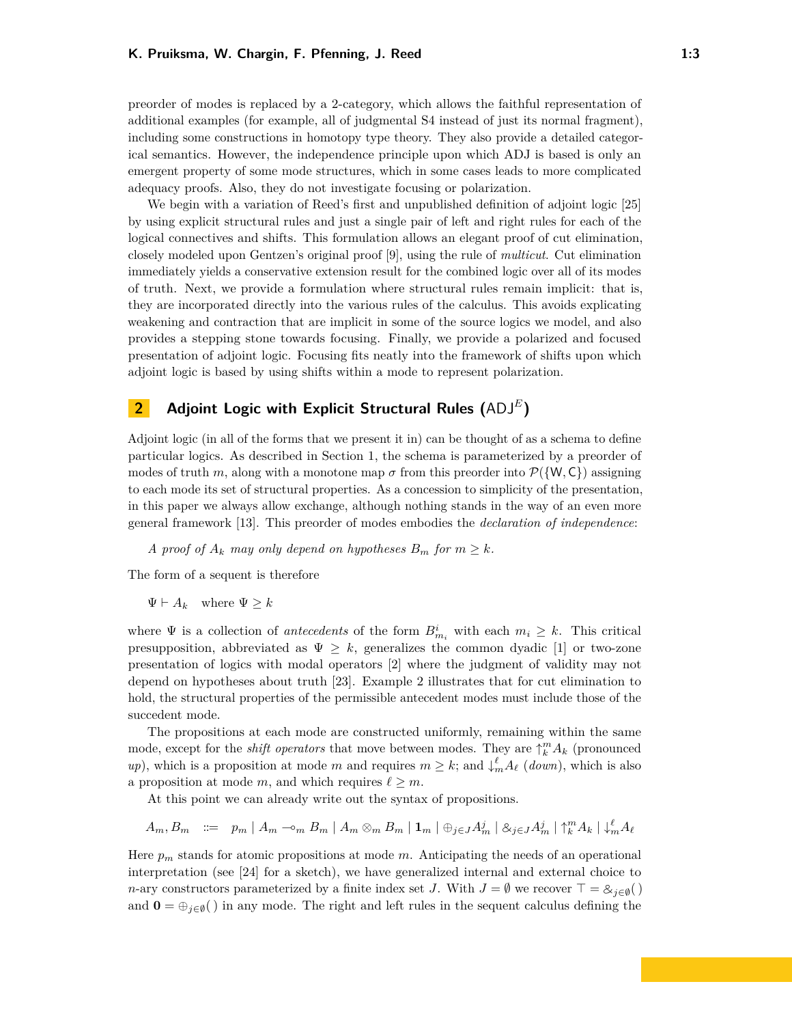preorder of modes is replaced by a 2-category, which allows the faithful representation of additional examples (for example, all of judgmental S4 instead of just its normal fragment), including some constructions in homotopy type theory. They also provide a detailed categorical semantics. However, the independence principle upon which ADJ is based is only an emergent property of some mode structures, which in some cases leads to more complicated adequacy proofs. Also, they do not investigate focusing or polarization.

We begin with a variation of Reed's first and unpublished definition of adjoint logic [\[25\]](#page-15-15) by using explicit structural rules and just a single pair of left and right rules for each of the logical connectives and shifts. This formulation allows an elegant proof of cut elimination, closely modeled upon Gentzen's original proof [\[9\]](#page-15-1), using the rule of *multicut*. Cut elimination immediately yields a conservative extension result for the combined logic over all of its modes of truth. Next, we provide a formulation where structural rules remain implicit: that is, they are incorporated directly into the various rules of the calculus. This avoids explicating weakening and contraction that are implicit in some of the source logics we model, and also provides a stepping stone towards focusing. Finally, we provide a polarized and focused presentation of adjoint logic. Focusing fits neatly into the framework of shifts upon which adjoint logic is based by using shifts within a mode to represent polarization.

# **2 Adjoint Logic with Explicit Structural Rules (**ADJ*<sup>E</sup>* **)**

Adjoint logic (in all of the forms that we present it in) can be thought of as a schema to define particular logics. As described in Section [1,](#page-0-0) the schema is parameterized by a preorder of modes of truth *m*, along with a monotone map  $\sigma$  from this preorder into  $\mathcal{P}(\{W, C\})$  assigning to each mode its set of structural properties. As a concession to simplicity of the presentation, in this paper we always allow exchange, although nothing stands in the way of an even more general framework [\[13\]](#page-15-10). This preorder of modes embodies the *declaration of independence*:

*A* proof of  $A_k$  *may only depend on hypotheses*  $B_m$  *for*  $m \geq k$ *.* 

The form of a sequent is therefore

 $\Psi \vdash A_k$  where  $\Psi \geq k$ 

where  $\Psi$  is a collection of *antecedents* of the form  $B_{m_i}^i$  with each  $m_i \geq k$ . This critical presupposition, abbreviated as  $\Psi \geq k$ , generalizes the common dyadic [\[1\]](#page-14-1) or two-zone presentation of logics with modal operators [\[2\]](#page-14-2) where the judgment of validity may not depend on hypotheses about truth [\[23\]](#page-15-7). Example [2](#page-4-0) illustrates that for cut elimination to hold, the structural properties of the permissible antecedent modes must include those of the succedent mode.

The propositions at each mode are constructed uniformly, remaining within the same mode, except for the *shift operators* that move between modes. They are  $\uparrow_k^m A_k$  (pronounced *up*), which is a proposition at mode *m* and requires  $m \geq k$ ; and  $\downarrow^{\ell}_{m} A_{\ell}$  (*down*), which is also a proposition at mode *m*, and which requires  $\ell \geq m$ .

At this point we can already write out the syntax of propositions.

$$
A_m, B_m \ ::= \ p_m \mid A_m \negthinspace \negthinspace \negthinspace \negthinspace m \, B_m \mid A_m \otimes_m B_m \mid \mathbf{1}_m \mid \oplus_{j \in J} A_m^j \mid \otimes_{j \in J} A_m^j \mid \uparrow_k^m A_k \mid \downarrow_m^\ell A_\ell
$$

Here *p<sup>m</sup>* stands for atomic propositions at mode *m*. Anticipating the needs of an operational interpretation (see [\[24\]](#page-15-13) for a sketch), we have generalized internal and external choice to *n*-ary constructors parameterized by a finite index set *J*. With  $J = \emptyset$  we recover  $\top = \mathcal{B}_{j \in \emptyset}($ and  $\mathbf{0} = \bigoplus_{i \in \emptyset}$  in any mode. The right and left rules in the sequent calculus defining the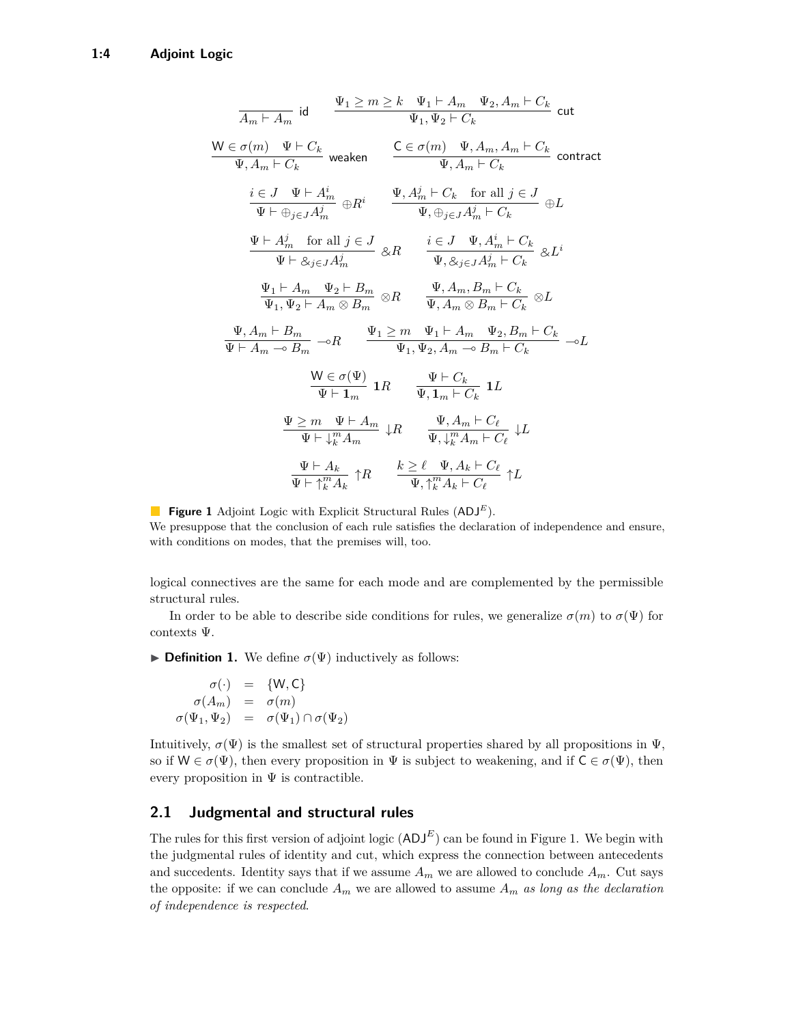<span id="page-3-0"></span>
$$
\frac{1}{A_m + A_m} \text{ id} \qquad \frac{\Psi_1 \ge m \ge k \quad \Psi_1 + A_m \quad \Psi_2, A_m + C_k}{\Psi_1, \Psi_2 + C_k} \text{ cut}
$$
\n
$$
\frac{\mathsf{W} \in \sigma(m) \quad \Psi + C_k}{\Psi, A_m + C_k} \text{ weaken} \qquad \frac{\mathsf{C} \in \sigma(m) \quad \Psi, A_m, A_m + C_k}{\Psi, A_m + C_k} \text{ contract}
$$
\n
$$
\frac{i \in J \quad \Psi \vdash A_m^i}{\Psi \vdash \oplus_{j \in J} A_m^j} \oplus R^i \qquad \frac{\Psi, A_m^j + C_k \quad \text{for all } j \in J}{\Psi, \oplus_{j \in J} A_m^j + C_k} \oplus L
$$
\n
$$
\frac{\Psi \vdash A_m^j \quad \text{for all } j \in J}{\Psi \vdash \otimes_{j \in J} A_m^j} \text{  $\otimes R \qquad \frac{i \in J \quad \Psi, A_m^i + C_k}{\Psi, \otimes_{j \in J} A_m^j + C_k} \text{  $\otimes L^i$ \n
$$
\frac{\Psi_1 \vdash A_m \quad \Psi_2 \vdash B_m}{\Psi_1, \Psi_2 \vdash A_m \otimes B_m} \text{  $\otimes R \qquad \frac{\Psi, A_m, B_m \vdash C_k}{\Psi, A_m \otimes B_m + C_k} \text{  $\otimes L$ \n
$$
\frac{\Psi, A_m \vdash B_m}{\Psi \vdash A_m \multimap B_m} \multimap R \qquad \frac{\Psi_1 \ge m \quad \Psi_1 \vdash A_m \quad \Psi_2, B_m \vdash C_k}{\Psi_1, \Psi_2, A_m \multimap B_m \vdash C_k} \text{  $\neg L$ \n
$$
\frac{\mathsf{W} \in \sigma(\Psi)}{\Psi \vdash 1_m} \text{  $\mathbb{1}R \qquad \frac{\Psi \vdash C_k}{\Psi, 1_m \vdash C_k} \text{  $\mathbb{1}L$ \n
$$
\frac{\Psi \ge m \quad \Psi \vdash A_m}{\Psi \vdash \frac{m}{k}A_m} \downarrow R \qquad \frac{\Psi, A_m \vdash C_\ell}{\Psi, \frac{m}{k}A_m \vdash C_\ell} \downarrow L
$$
\n$
$$
$$$
$$$
$$

**Figure 1** Adjoint Logic with Explicit Structural Rules (ADJ*<sup>E</sup>*). We presuppose that the conclusion of each rule satisfies the declaration of independence and ensure, with conditions on modes, that the premises will, too.

logical connectives are the same for each mode and are complemented by the permissible structural rules.

In order to be able to describe side conditions for rules, we generalize  $\sigma(m)$  to  $\sigma(\Psi)$  for contexts Ψ.

**Definition 1.** We define  $\sigma(\Psi)$  inductively as follows:

$$
\begin{array}{rcl}\n\sigma(\cdot) & = & \{W, C\} \\
\sigma(A_m) & = & \sigma(m) \\
\sigma(\Psi_1, \Psi_2) & = & \sigma(\Psi_1) \cap \sigma(\Psi_2)\n\end{array}
$$

Intuitively,  $\sigma(\Psi)$  is the smallest set of structural properties shared by all propositions in  $\Psi$ , so if  $W \in \sigma(\Psi)$ , then every proposition in  $\Psi$  is subject to weakening, and if  $C \in \sigma(\Psi)$ , then every proposition in  $\Psi$  is contractible.

#### **2.1 Judgmental and structural rules**

The rules for this first version of adjoint logic  $(ADJ<sup>E</sup>)$  can be found in Figure [1.](#page-3-0) We begin with the judgmental rules of identity and cut, which express the connection between antecedents and succedents. Identity says that if we assume  $A_m$  we are allowed to conclude  $A_m$ . Cut says the opposite: if we can conclude  $A_m$  we are allowed to assume  $A_m$  *as long as the declaration of independence is respected*.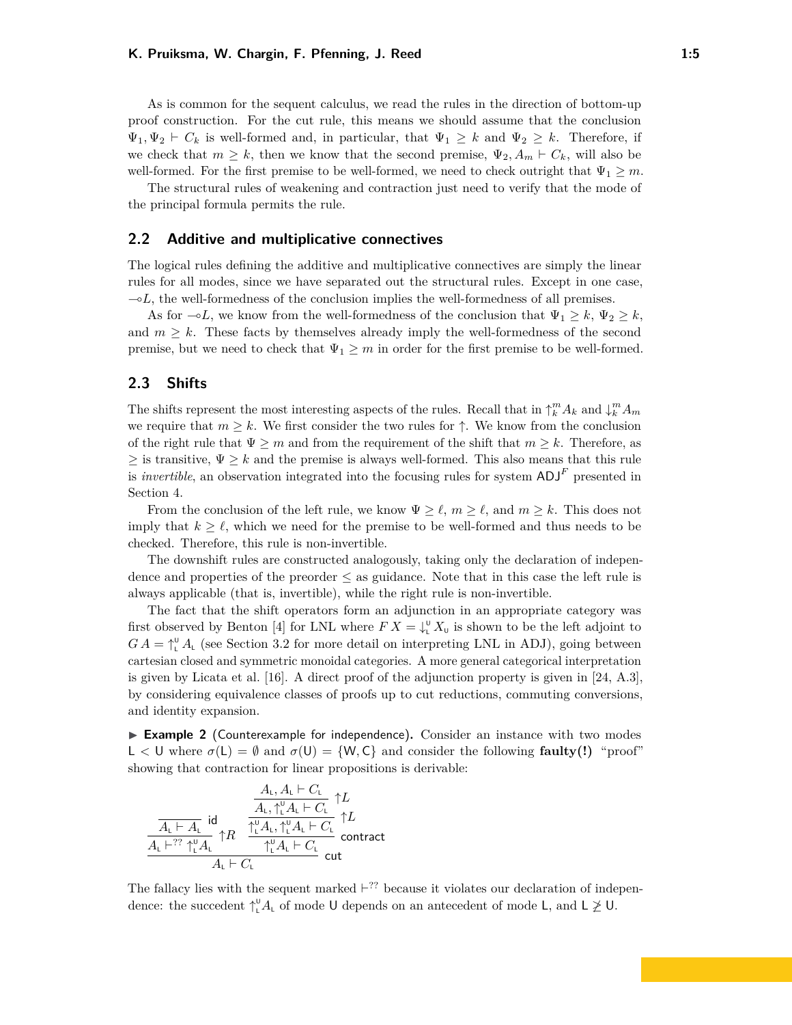As is common for the sequent calculus, we read the rules in the direction of bottom-up proof construction. For the cut rule, this means we should assume that the conclusion  $\Psi_1, \Psi_2 \vdash C_k$  is well-formed and, in particular, that  $\Psi_1 \geq k$  and  $\Psi_2 \geq k$ . Therefore, if we check that  $m \geq k$ , then we know that the second premise,  $\Psi_2, A_m \vdash C_k$ , will also be well-formed. For the first premise to be well-formed, we need to check outright that  $\Psi_1 \geq m$ .

The structural rules of weakening and contraction just need to verify that the mode of the principal formula permits the rule.

### **2.2 Additive and multiplicative connectives**

The logical rules defining the additive and multiplicative connectives are simply the linear rules for all modes, since we have separated out the structural rules. Except in one case,  $\sim L$ , the well-formedness of the conclusion implies the well-formedness of all premises.

As for  $\neg L$ , we know from the well-formedness of the conclusion that  $\Psi_1 \geq k$ ,  $\Psi_2 \geq k$ , and  $m \geq k$ . These facts by themselves already imply the well-formedness of the second premise, but we need to check that  $\Psi_1 \geq m$  in order for the first premise to be well-formed.

#### **2.3 Shifts**

The shifts represent the most interesting aspects of the rules. Recall that in  $\uparrow_k^m A_k$  and  $\downarrow_k^m A_m$ we require that  $m \geq k$ . We first consider the two rules for  $\uparrow$ . We know from the conclusion of the right rule that  $\Psi \geq m$  and from the requirement of the shift that  $m \geq k$ . Therefore, as  $\geq$  is transitive,  $\Psi \geq k$  and the premise is always well-formed. This also means that this rule is *invertible*, an observation integrated into the focusing rules for system  $ADJ<sup>F</sup>$  presented in Section [4.](#page-10-0)

From the conclusion of the left rule, we know  $\Psi \geq \ell$ ,  $m \geq \ell$ , and  $m \geq k$ . This does not imply that  $k \geq \ell$ , which we need for the premise to be well-formed and thus needs to be checked. Therefore, this rule is non-invertible.

The downshift rules are constructed analogously, taking only the declaration of independence and properties of the preorder  $\leq$  as guidance. Note that in this case the left rule is always applicable (that is, invertible), while the right rule is non-invertible.

The fact that the shift operators form an adjunction in an appropriate category was first observed by Benton [\[4\]](#page-14-0) for LNL where  $FX = \downarrow^{\mathsf{U}}_L X_{\mathsf{U}}$  is shown to be the left adjoint to  $GA = \uparrow^{\mathsf{U}}_{\mathsf{L}} A_{\mathsf{L}}$  (see Section [3.2](#page-7-0) for more detail on interpreting LNL in ADJ), going between cartesian closed and symmetric monoidal categories. A more general categorical interpretation is given by Licata et al. [\[16\]](#page-15-14). A direct proof of the adjunction property is given in [\[24,](#page-15-13) A.3], by considering equivalence classes of proofs up to cut reductions, commuting conversions, and identity expansion.

<span id="page-4-0"></span>► **Example 2** (Counterexample for independence). Consider an instance with two modes L  $\lt U$  where  $\sigma(L) = \emptyset$  and  $\sigma(U) = \{W, C\}$  and consider the following **faulty(!)** "proof" showing that contraction for linear propositions is derivable:

$$
\frac{\dfrac{A_{\mathrm{L}},A_{\mathrm{L}}\vdash C_{\mathrm{L}}}{A_{\mathrm{L}}\vdash A_{\mathrm{L}}}\uparrow\hspace{-0.2cm}L}{\dfrac{A_{\mathrm{L}},\uparrow_{\mathrm{L}}^{0}A_{\mathrm{L}}\vdash C_{\mathrm{L}}}{A_{\mathrm{L}}\vdash^{27}\uparrow_{\mathrm{L}}^{0}A_{\mathrm{L}}}\uparrow\hspace{-0.2cm}R}\dfrac{\dfrac{A_{\mathrm{L}},\uparrow_{\mathrm{L}}^{0}A_{\mathrm{L}}\vdash C_{\mathrm{L}}}{A_{\mathrm{L}}\vdash C_{\mathrm{L}}}\uparrow\hspace{-0.2cm}L}{\dfrac{\uparrow_{\mathrm{L}}^{0}A_{\mathrm{L}}\vdash C_{\mathrm{L}}}{A_{\mathrm{L}}\vdash C_{\mathrm{L}}}\text{ contract}}
$$

The fallacy lies with the sequent marked  $\vdash^{??}$  because it violates our declaration of independence: the succedent  $\uparrow_{\mathsf{L}}^{\mathsf{U}} A_{\mathsf{L}}$  of mode U depends on an antecedent of mode L, and  $\mathsf{L} \ngeq \mathsf{U}$ .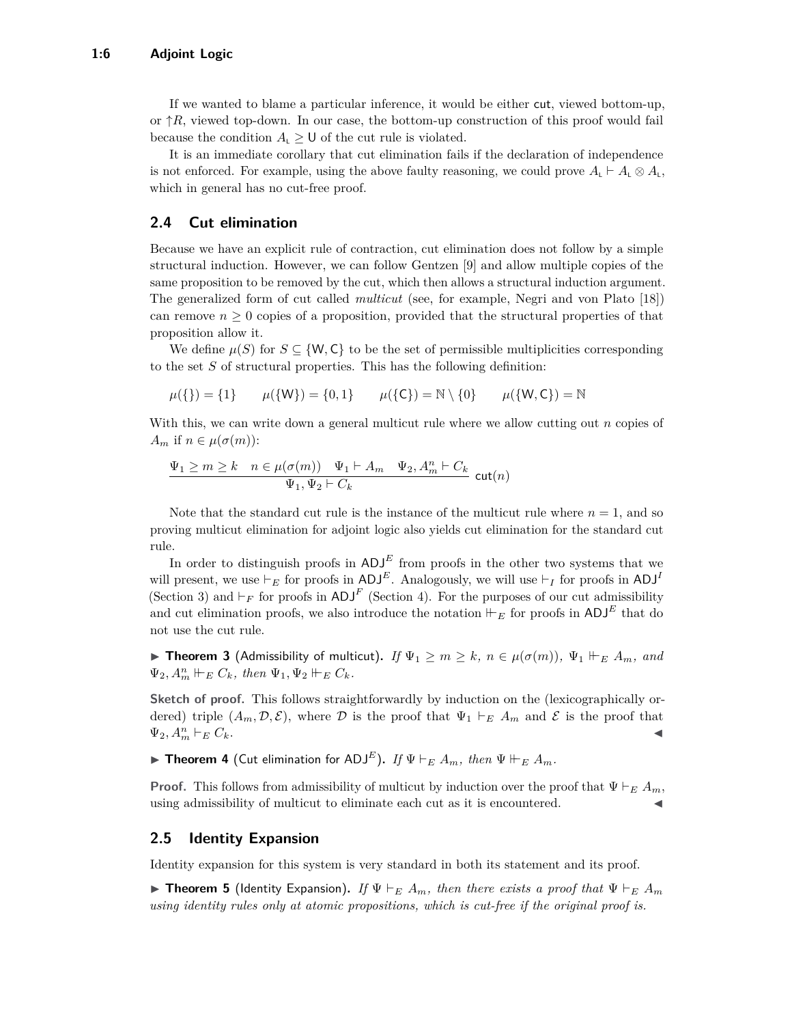If we wanted to blame a particular inference, it would be either cut, viewed bottom-up, or  $\uparrow R$ , viewed top-down. In our case, the bottom-up construction of this proof would fail because the condition  $A_L \geq 0$  of the cut rule is violated.

It is an immediate corollary that cut elimination fails if the declaration of independence is not enforced. For example, using the above faulty reasoning, we could prove  $A_L \vdash A_L \otimes A_L$ , which in general has no cut-free proof.

## **2.4 Cut elimination**

Because we have an explicit rule of contraction, cut elimination does not follow by a simple structural induction. However, we can follow Gentzen [\[9\]](#page-15-1) and allow multiple copies of the same proposition to be removed by the cut, which then allows a structural induction argument. The generalized form of cut called *multicut* (see, for example, Negri and von Plato [\[18\]](#page-15-16)) can remove  $n \geq 0$  copies of a proposition, provided that the structural properties of that proposition allow it.

We define  $\mu(S)$  for  $S \subseteq \{W, C\}$  to be the set of permissible multiplicities corresponding to the set *S* of structural properties. This has the following definition:

$$
\mu({\{\}) = \{1\}} \qquad \mu({\{W\}}) = \{0, 1\} \qquad \mu({\{C\}}) = \mathbb{N} \setminus \{0\} \qquad \mu({\{W, C\}}) = \mathbb{N}
$$

With this, we can write down a general multicut rule where we allow cutting out *n* copies of  $A_m$  if  $n \in \mu(\sigma(m))$ :

$$
\frac{\Psi_1\geq m\geq k \quad n\in\mu(\sigma(m))\quad \Psi_1\vdash A_m\quad \Psi_2,A^n_m\vdash C_k}{\Psi_1,\Psi_2\vdash C_k}\ \text{cut}(n)
$$

Note that the standard cut rule is the instance of the multicut rule where  $n = 1$ , and so proving multicut elimination for adjoint logic also yields cut elimination for the standard cut rule.

In order to distinguish proofs in  $ADJ<sup>E</sup>$  from proofs in the other two systems that we will present, we use  $\vdash_E$  for proofs in ADJ<sup>E</sup>. Analogously, we will use  $\vdash_I$  for proofs in ADJ<sup>I</sup> (Section [3\)](#page-6-0) and  $\vdash_F$  for proofs in ADJ<sup>F</sup> (Section [4\)](#page-10-0). For the purposes of our cut admissibility and cut elimination proofs, we also introduce the notation  $\vdash_E$  for proofs in ADJ<sup>E</sup> that do not use the cut rule.

**Find Example 1** Theorem 3 (Admissibility of multicut). *If*  $\Psi_1 \geq m \geq k$ ,  $n \in \mu(\sigma(m))$ ,  $\Psi_1 \vDash_E A_m$ , and  $\Psi_2, A_m^n \Vdash_E C_k$ , then  $\Psi_1, \Psi_2 \Vdash_E C_k$ .

**Sketch of proof.** This follows straightforwardly by induction on the (lexicographically ordered) triple  $(A_m, \mathcal{D}, \mathcal{E})$ , where  $\mathcal D$  is the proof that  $\Psi_1 \vdash_E A_m$  and  $\mathcal E$  is the proof that  $\Psi_2, A_m^n \vdash_E C_k.$  $\binom{n}{m}$   $\vdash$   $E$   $C_k$ .

**Fineorem 4** (Cut elimination for ADJ<sup>E</sup>). If  $\Psi \vdash_E A_m$ , then  $\Psi \Vdash_E A_m$ .

**Proof.** This follows from admissibility of multicut by induction over the proof that  $\Psi \vdash_E A_m$ , using admissibility of multicut to eliminate each cut as it is encountered.

#### **2.5 Identity Expansion**

Identity expansion for this system is very standard in both its statement and its proof.

**Fineorem 5** (Identity Expansion). If  $\Psi \vdash_E A_m$ , then there exists a proof that  $\Psi \vdash_E A_m$ *using identity rules only at atomic propositions, which is cut-free if the original proof is.*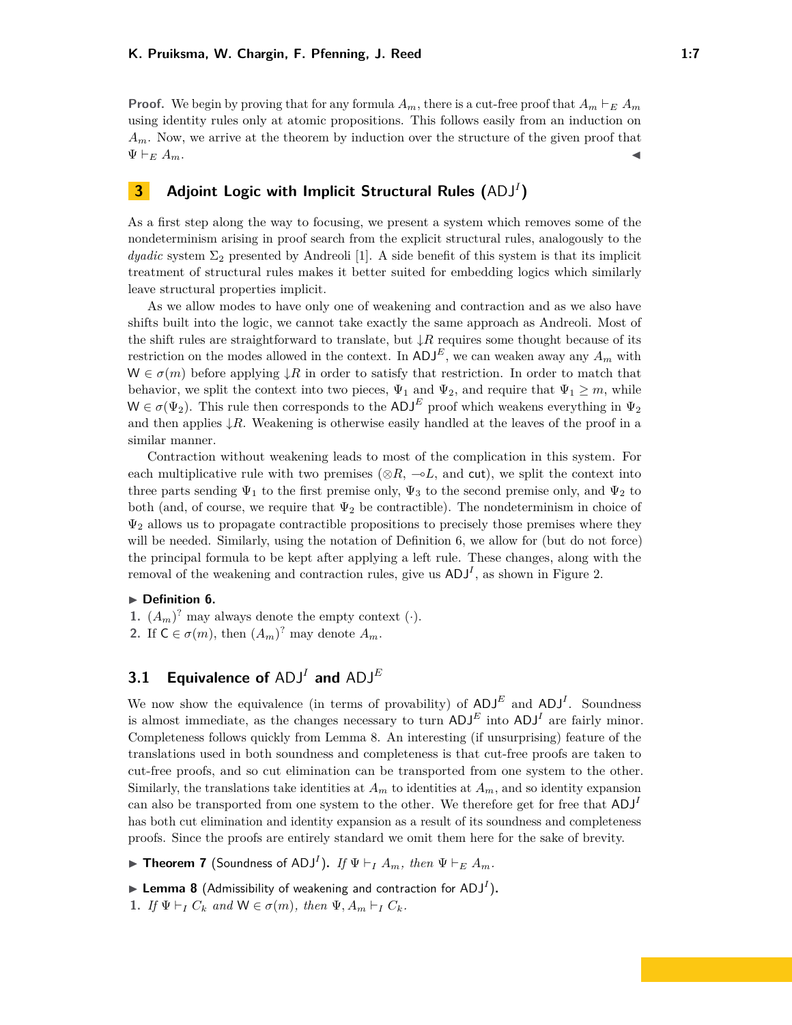**Proof.** We begin by proving that for any formula  $A_m$ , there is a cut-free proof that  $A_m \vdash_E A_m$ using identity rules only at atomic propositions. This follows easily from an induction on *Am*. Now, we arrive at the theorem by induction over the structure of the given proof that  $\Psi \vdash_E A_m$ .

# <span id="page-6-0"></span>**3 Adjoint Logic with Implicit Structural Rules (**ADJ*<sup>I</sup>* **)**

As a first step along the way to focusing, we present a system which removes some of the nondeterminism arising in proof search from the explicit structural rules, analogously to the *dyadic* system  $\Sigma_2$  presented by Andreoli [\[1\]](#page-14-1). A side benefit of this system is that its implicit treatment of structural rules makes it better suited for embedding logics which similarly leave structural properties implicit.

As we allow modes to have only one of weakening and contraction and as we also have shifts built into the logic, we cannot take exactly the same approach as Andreoli. Most of the shift rules are straightforward to translate, but ↓*R* requires some thought because of its restriction on the modes allowed in the context. In  $ADJ^E$ , we can weaken away any  $A_m$  with  $W \in \sigma(m)$  before applying  $\downarrow R$  in order to satisfy that restriction. In order to match that behavior, we split the context into two pieces,  $\Psi_1$  and  $\Psi_2$ , and require that  $\Psi_1 \geq m$ , while  $W \in \sigma(\Psi_2)$ . This rule then corresponds to the ADJ<sup>E</sup> proof which weakens everything in  $\Psi_2$ and then applies  $\downarrow$ *R*. Weakening is otherwise easily handled at the leaves of the proof in a similar manner.

Contraction without weakening leads to most of the complication in this system. For each multiplicative rule with two premises ( $\otimes R$ ,  $\neg L$ , and cut), we split the context into three parts sending  $\Psi_1$  to the first premise only,  $\Psi_3$  to the second premise only, and  $\Psi_2$  to both (and, of course, we require that  $\Psi_2$  be contractible). The nondeterminism in choice of  $\Psi_2$  allows us to propagate contractible propositions to precisely those premises where they will be needed. Similarly, using the notation of Definition [6,](#page-6-1) we allow for (but do not force) the principal formula to be kept after applying a left rule. These changes, along with the removal of the weakening and contraction rules, give us  $\text{ADJ}^I$ , as shown in Figure [2.](#page-7-1)

#### <span id="page-6-1"></span>**Definition 6.**

- **1.**  $(A_m)^?$  may always denote the empty context  $(\cdot)$ .
- **2.** If  $C \in \sigma(m)$ , then  $(A_m)^?$  may denote  $A_m$ .

# **3.1 Equivalence of** ADJ*<sup>I</sup>* **and** ADJ*<sup>E</sup>*

We now show the equivalence (in terms of provability) of  $ADJ<sup>E</sup>$  and  $ADJ<sup>I</sup>$ . Soundness is almost immediate, as the changes necessary to turn  $ADJ<sup>E</sup>$  into  $ADJ<sup>I</sup>$  are fairly minor. Completeness follows quickly from Lemma [8.](#page-6-2) An interesting (if unsurprising) feature of the translations used in both soundness and completeness is that cut-free proofs are taken to cut-free proofs, and so cut elimination can be transported from one system to the other. Similarly, the translations take identities at  $A_m$  to identities at  $A_m$ , and so identity expansion can also be transported from one system to the other. We therefore get for free that ADJ*<sup>I</sup>* has both cut elimination and identity expansion as a result of its soundness and completeness proofs. Since the proofs are entirely standard we omit them here for the sake of brevity.

 $\blacktriangleright$  **Theorem 7** (Soundness of ADJ<sup>I</sup>). If  $\Psi \vdash_I A_m$ , then  $\Psi \vdash_E A_m$ .

<span id="page-6-2"></span> $\blacktriangleright$  Lemma 8 (Admissibility of weakening and contraction for ADJ<sup>I</sup>).

**1.** *If*  $\Psi \vdash_I C_k$  *and*  $W \in \sigma(m)$ *, then*  $\Psi$ *,*  $A_m \vdash_I C_k$ *.*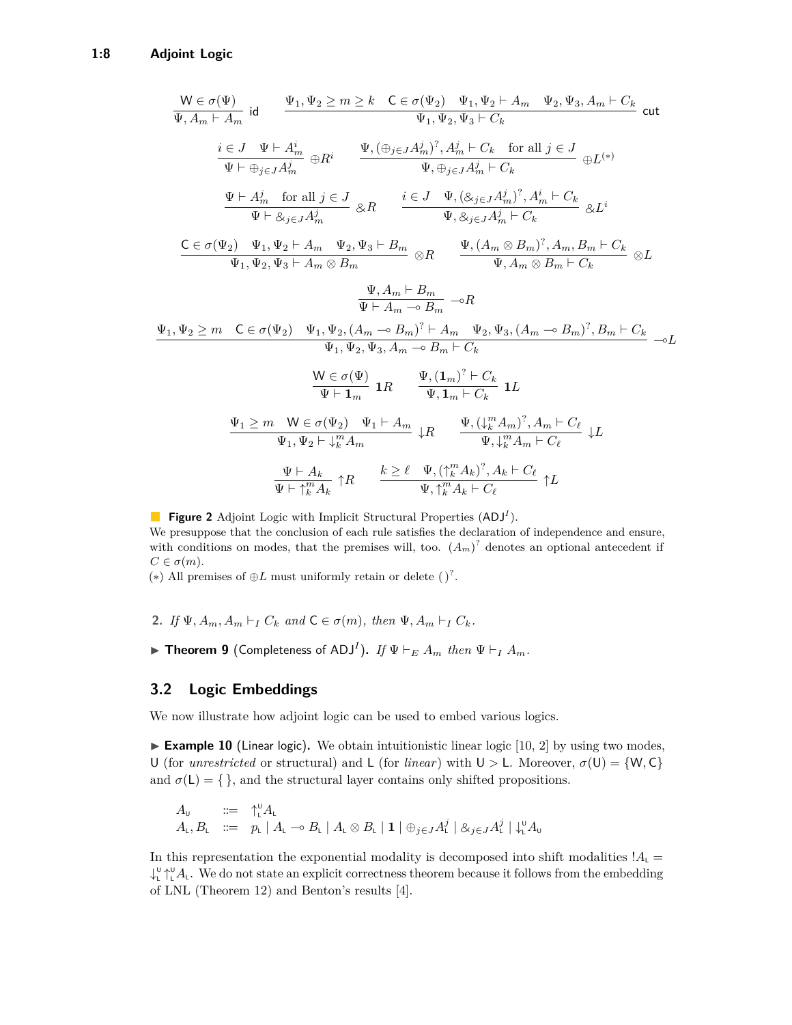<span id="page-7-1"></span>
$$
\frac{W \in \sigma(\Psi)}{\Psi, A_m \vdash A_m} \quad \text{id} \quad \frac{\Psi_1, \Psi_2 \ge m \ge k \quad C \in \sigma(\Psi_2) \quad \Psi_1, \Psi_2 \vdash A_m \quad \Psi_2, \Psi_3, A_m \vdash C_k}{\Psi_1, \Psi_2, \Psi_3 \vdash C_k} \quad \text{cut}
$$
\n
$$
\frac{i \in J \quad \Psi \vdash A_m^i}{\Psi \vdash \oplus_{j \in J} A_m^j} \oplus R^i \quad \frac{\Psi, (\oplus_{j \in J} A_m^j)^?, A_m^j \vdash C_k \quad \text{for all } j \in J}{\Psi, \oplus_{j \in J} A_m^j \vdash C_k} \oplus L^{(*)}
$$
\n
$$
\frac{\Psi \vdash A_m^j \quad \text{for all } j \in J}{\Psi \vdash \otimes_{j \in J} A_m^j} \quad \text{g}, R \quad \frac{i \in J \quad \Psi, (\otimes_{j \in J} A_m^j)^?, A_m^i \vdash C_k}{\Psi, \otimes_{j \in J} A_m^j \vdash C_k} \quad \text{g}, L^i
$$
\n
$$
\frac{C \in \sigma(\Psi_2) \quad \Psi_1, \Psi_2 \vdash A_m \quad \Psi_2, \Psi_3 \vdash B_m}{\Psi_1, \Psi_2, \Psi_3 \vdash A_m \otimes B_m} \quad \frac{\Psi, (A_m \otimes B_m)^?, A_m, B_m \vdash C_k}{\Psi, A_m \otimes B_m \vdash C_k} \quad \text{g}, L
$$
\n
$$
\frac{\Psi, A_m \vdash B_m}{\Psi \vdash A_m \multimap B_m} \quad \text{and}
$$
\n
$$
\frac{\Psi, A_m \vdash B_m}{\Psi, \Psi_2, \Psi_3, A_m \multimap B_m \vdash C_k} \quad \text{and}
$$
\n
$$
\frac{\Psi, (\Psi_1, \Psi_2, \Psi_3, A_m \vdash C_k)}{\Psi \vdash \Psi, \Psi_2, \Psi_3, A_m \vdash C_k} \quad \text{and}
$$
\n
$$
\frac{\Psi \in \sigma(\Psi)}{\Psi \vdash \Psi_m} \quad \text{and}
$$
\n
$$
\frac{\Psi, (\Psi_1, \Psi_1^2, \vdash C_k)}{\Psi, \Psi_1 \vdash C_k} \quad \text{and}
$$
\

**Figure 2** Adjoint Logic with Implicit Structural Properties (ADJ*<sup>I</sup>* ). We presuppose that the conclusion of each rule satisfies the declaration of independence and ensure, with conditions on modes, that the premises will, too.  $(A_m)^2$  denotes an optional antecedent if  $C \in \sigma(m)$ .

(\*) All premises of  $oplus L$  must uniformly retain or delete ( $)$ <sup>?</sup>.

- **2.** *If*  $\Psi$ *,*  $A_m$ *,*  $A_m$   $\vdash$ *I*  $C_k$  *and*  $C \in \sigma(m)$ *, then*  $\Psi$ *,*  $A_m$   $\vdash$ *I*  $C_k$ *.*
- $\blacktriangleright$  **Theorem 9** (Completeness of ADJ<sup>I</sup>). If  $\Psi \vdash_E A_m$  then  $\Psi \vdash_I A_m$ .

#### <span id="page-7-0"></span>**3.2 Logic Embeddings**

We now illustrate how adjoint logic can be used to embed various logics.

► Example 10 (Linear logic). We obtain intuitionistic linear logic [\[10,](#page-15-0) [2\]](#page-14-2) by using two modes, U (for *unrestricted* or structural) and L (for *linear*) with  $U > L$ . Moreover,  $\sigma(U) = \{W, C\}$ and  $\sigma(L) = \{\}$ , and the structural layer contains only shifted propositions.

$$
A_{\mathsf{U}} \quad := \quad \uparrow_{\mathsf{L}}^{\mathsf{U}} A_{\mathsf{L}} A_{\mathsf{L}}, B_{\mathsf{L}} \quad := \quad p_{\mathsf{L}} \mid A_{\mathsf{L}} \sim B_{\mathsf{L}} \mid A_{\mathsf{L}} \otimes B_{\mathsf{L}} \mid \mathbf{1} \mid \oplus_{j \in J} A_{\mathsf{L}}^j \mid \otimes_{j \in J} A_{\mathsf{L}}^j \mid \downarrow_{\mathsf{L}}^{\mathsf{U}} A_{\mathsf{U}}
$$

In this representation the exponential modality is decomposed into shift modalities  $!A_{\mathsf{L}} =$  $\downarrow^0_\mathsf{L} \uparrow^0_\mathsf{L} A_\mathsf{L}$ . We do not state an explicit correctness theorem because it follows from the embedding of LNL (Theorem [12\)](#page-8-0) and Benton's results [\[4\]](#page-14-0).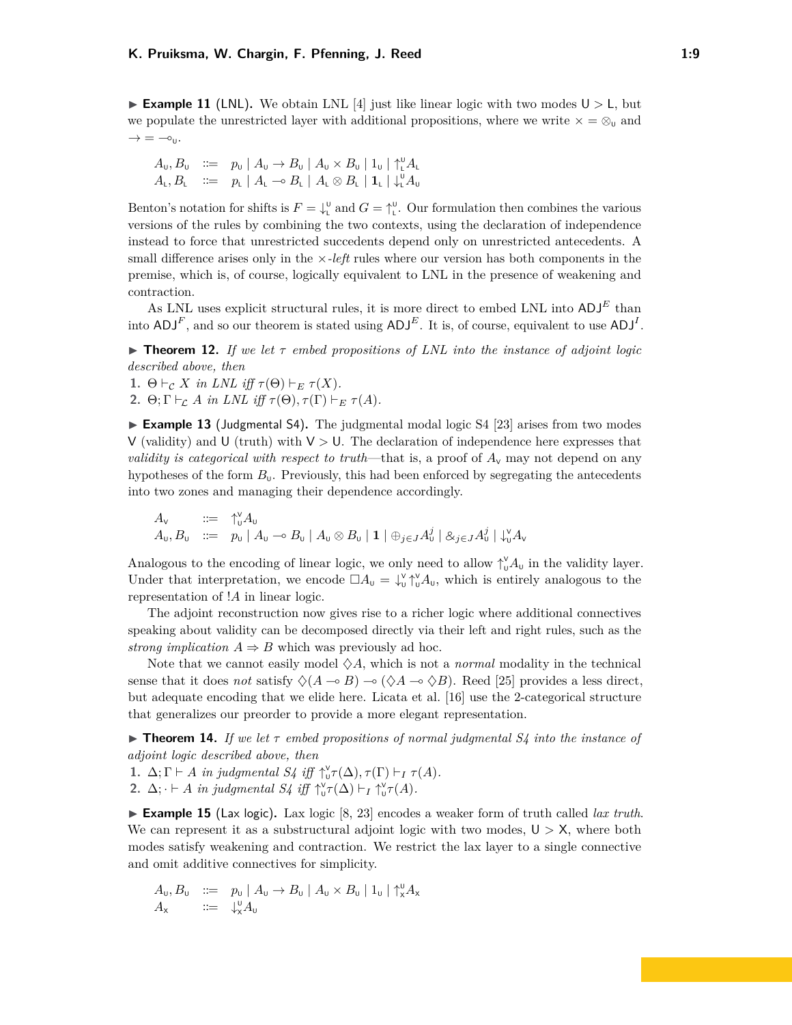**Example 11** (LNL). We obtain LNL [\[4\]](#page-14-0) just like linear logic with two modes  $U > L$ , but we populate the unrestricted layer with additional propositions, where we write  $x = \otimes_u$  and  $\rightarrow$  =  $\rightarrow$   $\circ$ <sub>U</sub>.

$$
A_{\mathsf{U}}, B_{\mathsf{U}} \quad ::= \quad p_{\mathsf{U}} \mid A_{\mathsf{U}} \to B_{\mathsf{U}} \mid A_{\mathsf{U}} \times B_{\mathsf{U}} \mid 1_{\mathsf{U}} \mid \uparrow_{\mathsf{L}}^{\mathsf{U}} A_{\mathsf{L}} A_{\mathsf{L}}, B_{\mathsf{L}} \quad ::= \quad p_{\mathsf{L}} \mid A_{\mathsf{L}} \multimap B_{\mathsf{L}} \mid A_{\mathsf{L}} \otimes B_{\mathsf{L}} \mid 1_{\mathsf{L}} \mid \downarrow_{\mathsf{L}}^{\mathsf{U}} A_{\mathsf{U}}
$$

Benton's notation for shifts is  $F = \downarrow^0$  and  $G = \uparrow^0$ . Our formulation then combines the various versions of the rules by combining the two contexts, using the declaration of independence instead to force that unrestricted succedents depend only on unrestricted antecedents. A small difference arises only in the ×*-left* rules where our version has both components in the premise, which is, of course, logically equivalent to LNL in the presence of weakening and contraction.

As LNL uses explicit structural rules, it is more direct to embed LNL into  $ADJ<sup>E</sup>$  than into  $ADJ<sup>F</sup>$ , and so our theorem is stated using  $ADJ<sup>E</sup>$ . It is, of course, equivalent to use  $ADJ<sup>I</sup>$ .

<span id="page-8-0"></span>**Find 12.** *If we let*  $\tau$  *embed propositions of LNL into the instance of adjoint logic described above, then*

**1.**  $\Theta \vdash_{\mathcal{C}} X$  *in LNL iff*  $\tau(\Theta) \vdash_{E} \tau(X)$ *.* 

**2.**  $\Theta; \Gamma \vdash_{\mathcal{L}} A$  *in LNL iff*  $\tau(\Theta), \tau(\Gamma) \vdash_{E} \tau(A)$ *.* 

<span id="page-8-1"></span>► **Example 13** (Judgmental S4). The judgmental modal logic S4 [\[23\]](#page-15-7) arises from two modes V (validity) and U (truth) with  $V > U$ . The declaration of independence here expresses that *validity is categorical with respect to truth—that is, a proof of*  $A<sub>v</sub>$  may not depend on any hypotheses of the form  $B<sub>U</sub>$ . Previously, this had been enforced by segregating the antecedents into two zones and managing their dependence accordingly.

$$
A_{\mathsf{U}} \quad \coloneqq \quad \mathop{\uparrow}\limits^{\mathsf{V}}_{\mathsf{U}} A_{\mathsf{U}} A_{\mathsf{U}} \quad \coloneqq \quad p_{\mathsf{U}} \mid A_{\mathsf{U}} \sim B_{\mathsf{U}} \mid A_{\mathsf{U}} \otimes B_{\mathsf{U}} \mid \mathbf{1} \mid \oplus_{j \in J} A_{\mathsf{U}}^j \mid \mathcal{S}_{j \in J} A_{\mathsf{U}}^j \mid \downarrow_{\mathsf{U}}^{\mathsf{V}} A_{\mathsf{V}}
$$

Analogous to the encoding of linear logic, we only need to allow  $\uparrow_u^{\vee} A_u$  in the validity layer. Under that interpretation, we encode  $\Box A_{\mathsf{U}} = \downarrow_{\mathsf{U}}^{\mathsf{V}} \uparrow_{\mathsf{U}}^{\mathsf{V}} A_{\mathsf{U}}$ , which is entirely analogous to the representation of !*A* in linear logic.

The adjoint reconstruction now gives rise to a richer logic where additional connectives speaking about validity can be decomposed directly via their left and right rules, such as the *strong implication*  $A \Rightarrow B$  which was previously ad hoc.

Note that we cannot easily model  $\Diamond A$ , which is not a *normal* modality in the technical sense that it does *not* satisfy  $\Diamond(A \multimap B) \multimap (\Diamond A \multimap \Diamond B)$ . Reed [\[25\]](#page-15-15) provides a less direct, but adequate encoding that we elide here. Licata et al. [\[16\]](#page-15-14) use the 2-categorical structure that generalizes our preorder to provide a more elegant representation.

**Theorem 14.** *If we let*  $\tau$  *embed propositions of normal judgmental S4 into the instance of adjoint logic described above, then*

- **1.**  $\Delta; \Gamma \vdash A$  *in judgmental*  $S4$  *iff*  $\uparrow_{\mathsf{U}}^{\mathsf{V}} \tau(\Delta), \tau(\Gamma) \vdash_I \tau(A)$ *.*
- **2.**  $\Delta$ ;  $\cdot \vdash A$  *in judgmental S4 iff*  $\uparrow_v^{\vee} \tau(\Delta) \vdash_I \uparrow_v^{\vee} \tau(A)$ *.*

► **Example 15** (Lax logic). Lax logic [\[8,](#page-15-8) [23\]](#page-15-7) encodes a weaker form of truth called *lax truth*. We can represent it as a substructural adjoint logic with two modes,  $U > X$ , where both modes satisfy weakening and contraction. We restrict the lax layer to a single connective and omit additive connectives for simplicity.

$$
A_{\mathsf{U}}, B_{\mathsf{U}} \quad ::= \quad p_{\mathsf{U}} \mid A_{\mathsf{U}} \to B_{\mathsf{U}} \mid A_{\mathsf{U}} \times B_{\mathsf{U}} \mid 1_{\mathsf{U}} \mid \uparrow_{\mathsf{X}}^{\mathsf{U}} A_{\mathsf{X}}
$$

$$
A_{\mathsf{X}} \qquad ::= \quad \downarrow_{\mathsf{X}}^{\mathsf{U}} A_{\mathsf{U}}
$$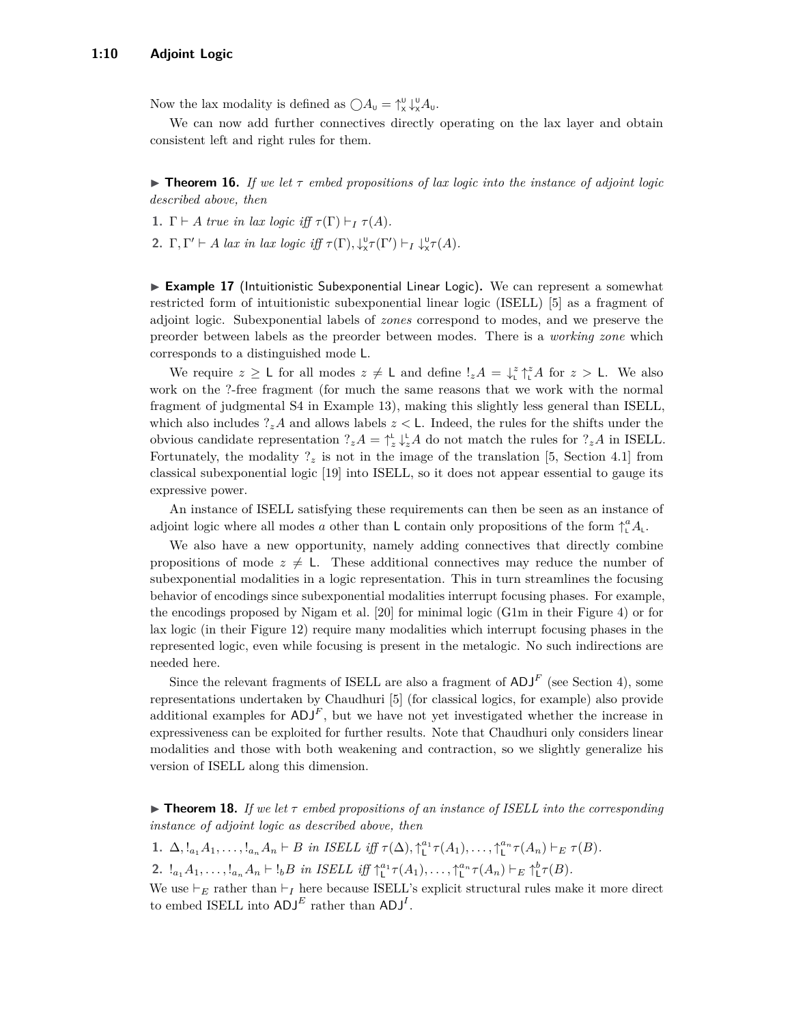Now the lax modality is defined as  $\bigcirc A_{\mathsf{U}} = \uparrow_{\mathsf{X}}^{\mathsf{U}} \downarrow_{\mathsf{X}}^{\mathsf{U}} A_{\mathsf{U}}.$ 

We can now add further connectives directly operating on the lax layer and obtain consistent left and right rules for them.

**Figurer 16.** *If we let*  $\tau$  *embed propositions of lax logic into the instance of adjoint logic described above, then*

- **1.**  $\Gamma \vdash A$  *true in lax logic iff*  $\tau(\Gamma) \vdash_I \tau(A)$ *.*
- **2.**  $\Gamma, \Gamma' \vdash A$  *lax in lax logic iff*  $\tau(\Gamma), \downarrow_{\mathsf{x}}^{\mathsf{U}} \tau(\Gamma') \vdash_I \downarrow_{\mathsf{x}}^{\mathsf{U}} \tau(A)$ *.*

**Example 17** (Intuitionistic Subexponential Linear Logic). We can represent a somewhat restricted form of intuitionistic subexponential linear logic (ISELL) [\[5\]](#page-14-3) as a fragment of adjoint logic. Subexponential labels of *zones* correspond to modes, and we preserve the preorder between labels as the preorder between modes. There is a *working zone* which corresponds to a distinguished mode L.

We require  $z \geq L$  for all modes  $z \neq L$  and define  $!_z A = \int_L^z \int_L^z A$  for  $z > L$ . We also work on the ?-free fragment (for much the same reasons that we work with the normal fragment of judgmental S4 in Example [13\)](#page-8-1), making this slightly less general than ISELL, which also includes  $?zA$  and allows labels  $z < L$ . Indeed, the rules for the shifts under the obvious candidate representation  $?zA = \uparrow_z^{\text{L}} \downarrow_z^{\text{L}} A$  do not match the rules for  $?zA$  in ISELL. Fortunately, the modality  $?z$  is not in the image of the translation [\[5,](#page-14-3) Section 4.1] from classical subexponential logic [\[19\]](#page-15-3) into ISELL, so it does not appear essential to gauge its expressive power.

An instance of ISELL satisfying these requirements can then be seen as an instance of adjoint logic where all modes *a* other than L contain only propositions of the form  $\int_{\mu}^{a} A_{\mu}$ .

We also have a new opportunity, namely adding connectives that directly combine propositions of mode  $z \neq L$ . These additional connectives may reduce the number of subexponential modalities in a logic representation. This in turn streamlines the focusing behavior of encodings since subexponential modalities interrupt focusing phases. For example, the encodings proposed by Nigam et al. [\[20\]](#page-15-17) for minimal logic (G1m in their Figure 4) or for lax logic (in their Figure 12) require many modalities which interrupt focusing phases in the represented logic, even while focusing is present in the metalogic. No such indirections are needed here.

Since the relevant fragments of ISELL are also a fragment of  $ADJ<sup>F</sup>$  (see Section [4\)](#page-10-0), some representations undertaken by Chaudhuri [\[5\]](#page-14-3) (for classical logics, for example) also provide additional examples for  $ADJ<sup>F</sup>$ , but we have not yet investigated whether the increase in expressiveness can be exploited for further results. Note that Chaudhuri only considers linear modalities and those with both weakening and contraction, so we slightly generalize his version of ISELL along this dimension.

**Figure 18.** If we let  $\tau$  embed propositions of an instance of ISELL into the corresponding *instance of adjoint logic as described above, then*

1.  $\Delta, !_{a_1}A_1, \ldots, !_{a_n}A_n \vdash B$  in ISELL iff  $\tau(\Delta), \uparrow_{\mathsf{L}}^{a_1} \tau(A_1), \ldots, \uparrow_{\mathsf{L}}^{a_n} \tau(A_n) \vdash_E \tau(B)$ .

2.  $!_{a_1}A_1, \ldots, !_{a_n}A_n \vdash !_bB$  in ISELL iff  $\uparrow_{\mathsf{L}}^{a_1} \tau(A_1), \ldots, \uparrow_{\mathsf{L}}^{a_n} \tau(A_n) \vdash_E \uparrow_{\mathsf{L}}^{b} \tau(B)$ .

We use  $\vdash_E$  rather than  $\vdash_I$  here because ISELL's explicit structural rules make it more direct to embed ISELL into  $ADJ<sup>E</sup>$  rather than  $ADJ<sup>I</sup>$ .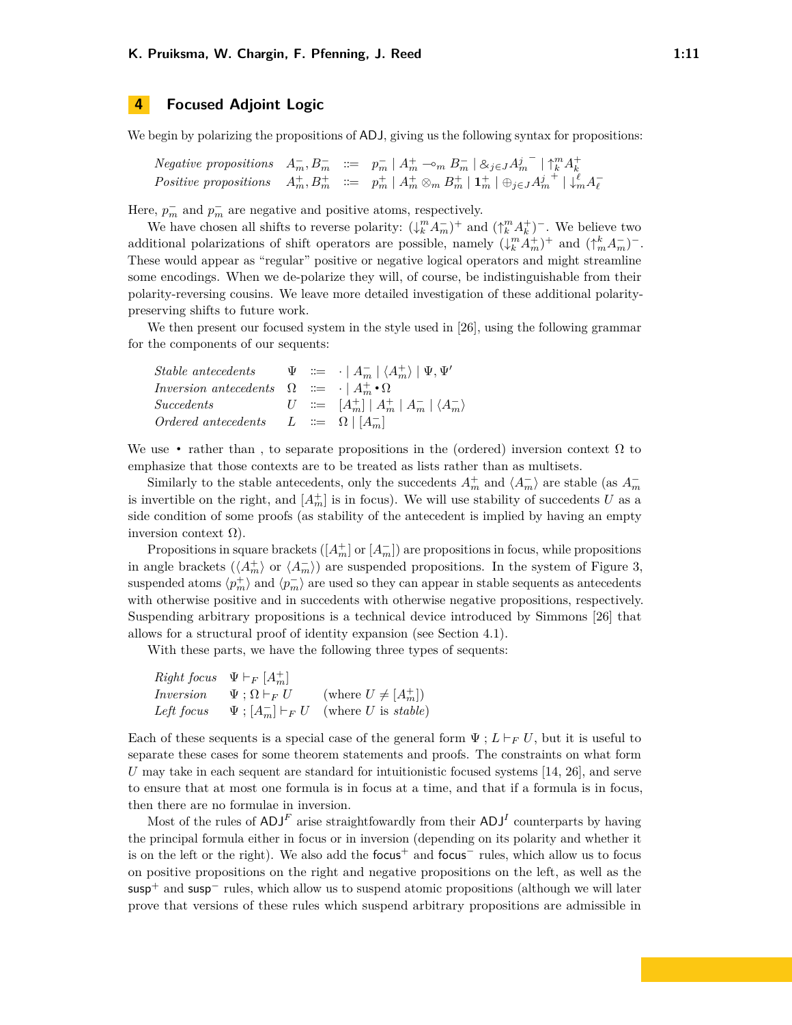## <span id="page-10-0"></span>**4 Focused Adjoint Logic**

We begin by polarizing the propositions of ADJ, giving us the following syntax for propositions:

Negative propositions 
$$
A_m^-, B_m^- := p_m^- | A_m^+ \negthinspace \negthinspace \negthinspace m B_m^- | \otimes_{j \in J} A_m^{j-} | \uparrow_k^m A_k^+
$$
  
\nPositive propositions  $A_m^+, B_m^+ := p_m^+ | A_m^+ \otimes_m B_m^+ | \mathbf{1}_m^+ | \oplus_{j \in J} A_m^{j-} | \downarrow_m^m A_\ell^-$ 

Here,  $p_m^-$  and  $p_m^-$  are negative and positive atoms, respectively.

We have chosen all shifts to reverse polarity:  $(\downarrow_k^m A_m^-)^+$  and  $(\uparrow_k^m A_k^+)^-$ . We believe two additional polarizations of shift operators are possible, namely  $(\downarrow_k^m A_m^+)^+$  and  $(\uparrow_m^k A_m^-)^-$ . These would appear as "regular" positive or negative logical operators and might streamline some encodings. When we de-polarize they will, of course, be indistinguishable from their polarity-reversing cousins. We leave more detailed investigation of these additional polaritypreserving shifts to future work.

We then present our focused system in the style used in [\[26\]](#page-16-0), using the following grammar for the components of our sequents:

| Stable antecedents $\Psi := \cdot   A_m^-   \langle A_m^+ \rangle   \Psi, \Psi'$ |  |                                                                              |
|----------------------------------------------------------------------------------|--|------------------------------------------------------------------------------|
| Inversion antecedents $\Omega := \{  A_m^+ \cdot \Omega \}$                      |  |                                                                              |
| Succedents                                                                       |  | $U \quad ::= \quad [A_m^+] \mid A_m^+ \mid A_m^- \mid \langle A_m^- \rangle$ |
| Ordered antecedents $L ::= \Omega   [A_{m}^{-}]$                                 |  |                                                                              |

We use • rather than, to separate propositions in the (ordered) inversion context  $\Omega$  to emphasize that those contexts are to be treated as lists rather than as multisets.

Similarly to the stable antecedents, only the succedents  $A_m^+$  and  $\langle A_m^- \rangle$  are stable (as  $A_m^-$ ) is invertible on the right, and  $[A_m^+]$  is in focus). We will use stability of succedents *U* as a side condition of some proofs (as stability of the antecedent is implied by having an empty inversion context  $Ω$ ).

Propositions in square brackets  $([A<sub>m</sub><sup>+</sup>]$  or  $[A<sub>m</sub><sup>-</sup>]$  are propositions in focus, while propositions in angle brackets  $(\langle A_m^+ \rangle$  or  $\langle A_m^- \rangle)$  are suspended propositions. In the system of Figure [3,](#page-12-0) suspended atoms  $\langle p_m^+ \rangle$  and  $\langle p_m^- \rangle$  are used so they can appear in stable sequents as antecedents with otherwise positive and in succedents with otherwise negative propositions, respectively. Suspending arbitrary propositions is a technical device introduced by Simmons [\[26\]](#page-16-0) that allows for a structural proof of identity expansion (see Section [4.1\)](#page-11-0).

With these parts, we have the following three types of sequents:

|            | <i>Right focus</i> $\Psi \vdash_F [A_m^+]$ |                                                   |
|------------|--------------------------------------------|---------------------------------------------------|
| Inversion  | $\Psi : \Omega \vdash_F U$                 | (where $U \neq [A_m^+]$ )                         |
| Left focus |                                            | $\Psi$ ; $[A_m^-] \vdash_F U$ (where U is stable) |

Each of these sequents is a special case of the general form  $\Psi : L \vdash_F U$ , but it is useful to separate these cases for some theorem statements and proofs. The constraints on what form *U* may take in each sequent are standard for intuitionistic focused systems [\[14,](#page-15-18) [26\]](#page-16-0), and serve to ensure that at most one formula is in focus at a time, and that if a formula is in focus, then there are no formulae in inversion.

Most of the rules of  $ADJ^F$  arise straightfowardly from their  $ADJ^I$  counterparts by having the principal formula either in focus or in inversion (depending on its polarity and whether it is on the left or the right). We also add the focus<sup>+</sup> and focus<sup>−</sup> rules, which allow us to focus on positive propositions on the right and negative propositions on the left, as well as the  $susp^+$  and  $susp^-$  rules, which allow us to suspend atomic propositions (although we will later prove that versions of these rules which suspend arbitrary propositions are admissible in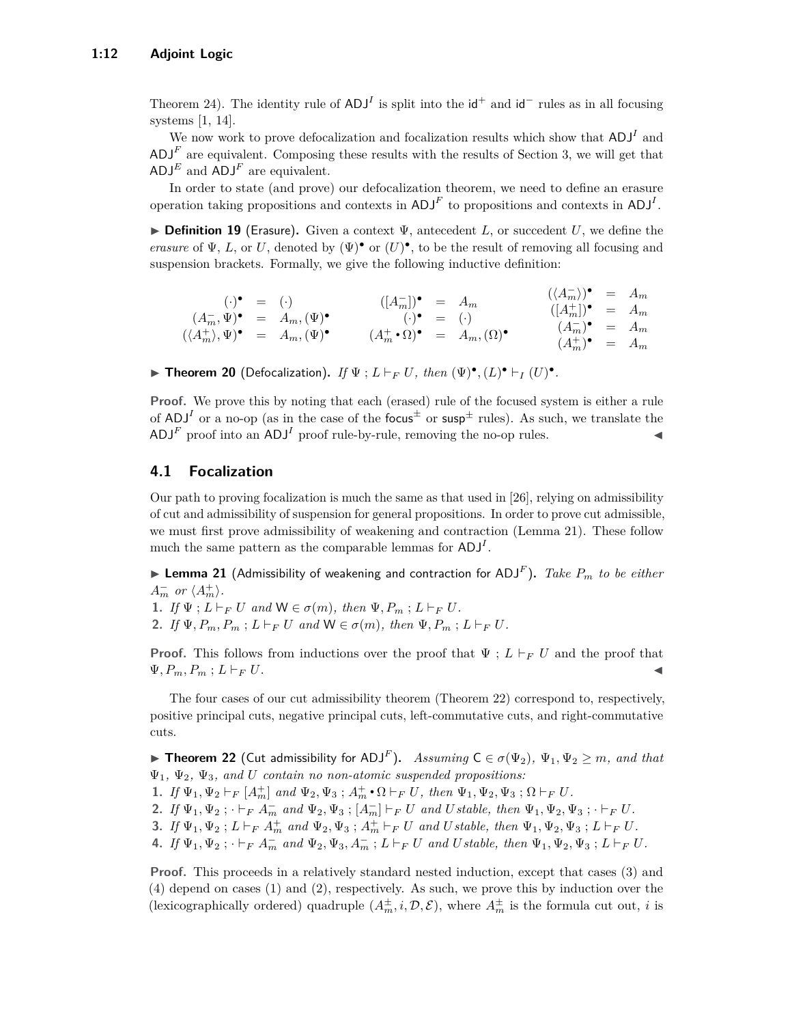Theorem [24\)](#page-13-0). The identity rule of  $ADJ<sup>I</sup>$  is split into the  $\mathsf{id}^+$  and  $\mathsf{id}^-$  rules as in all focusing systems [\[1,](#page-14-1) [14\]](#page-15-18).

We now work to prove defocalization and focalization results which show that  $ADJ<sup>I</sup>$  and  $\mathsf{ADJ}^F$  are equivalent. Composing these results with the results of Section [3,](#page-6-0) we will get that  $ADJ<sup>E</sup>$  and  $ADJ<sup>F</sup>$  are equivalent.

In order to state (and prove) our defocalization theorem, we need to define an erasure operation taking propositions and contexts in  $ADJ<sup>F</sup>$  to propositions and contexts in  $ADJ<sup>I</sup>$ .

I **Definition 19** (Erasure)**.** Given a context Ψ, antecedent *L*, or succedent *U*, we define the *erasure* of  $\Psi$ , *L*, or *U*, denoted by  $(\Psi)^{\bullet}$  or  $(U)^{\bullet}$ , to be the result of removing all focusing and suspension brackets. Formally, we give the following inductive definition:

$$
\begin{array}{rcl}\n(\cdot) \bullet & = & (\cdot) \\
(A_m^-\mathbf{v}) \bullet & = & A_m, (\Psi) \bullet \\
((A_m^+), \Psi) \bullet & = & A_m, (\Psi) \bullet \\
((A_m^+), \Psi) \bullet & = & A_m, (\Psi) \bullet \\
\end{array}\n\qquad\n\begin{array}{rcl}\n([A_m^-]) \bullet & = & A_m \\
(\cdot) \bullet & = & (\cdot) \\
(A_m^+ \bullet \Omega) \bullet & = & A_m, (\Omega) \bullet \\
(B_m^+) \bullet & = & A_m \\
(A_m^+) \bullet & = & A_m \\
(A_m^+) \bullet & = & A_m\n\end{array}
$$

► **Theorem 20** (Defocalization). *If*  $\Psi$ ;  $L \vdash_F U$ , then  $(\Psi)^{\bullet}$ ,  $(L)^{\bullet} \vdash_I (U)^{\bullet}$ .

**Proof.** We prove this by noting that each (erased) rule of the focused system is either a rule of ADJ<sup>I</sup> or a no-op (as in the case of the focus<sup> $\pm$ </sup> or susp<sup> $\pm$ </sup> rules). As such, we translate the  $\mathsf{ADJ}^F$  proof into an  $\mathsf{ADJ}^I$  proof rule-by-rule, removing the no-op rules.

#### <span id="page-11-0"></span>**4.1 Focalization**

Our path to proving focalization is much the same as that used in [\[26\]](#page-16-0), relying on admissibility of cut and admissibility of suspension for general propositions. In order to prove cut admissible, we must first prove admissibility of weakening and contraction (Lemma [21\)](#page-11-1). These follow much the same pattern as the comparable lemmas for ADJ*<sup>I</sup>* .

<span id="page-11-1"></span> $\blacktriangleright$  Lemma 21 (Admissibility of weakening and contraction for ADJ<sup>F</sup>). *Take*  $P_m$  *to be either*  $A_m^-$  *or*  $\langle A_m^+ \rangle$ *.* 

**1.** *If*  $\Psi$ ;  $L \vdash_F U$  *and*  $W \in \sigma(m)$ *, then*  $\Psi$ *,*  $P_m$ ;  $L \vdash_F U$ *.* 

**2.** *If*  $\Psi, P_m, P_m$ ;  $L \vdash_F U$  *and*  $W \in \sigma(m)$ *, then*  $\Psi, P_m$ ;  $L \vdash_F U$ *.* 

**Proof.** This follows from inductions over the proof that  $\Psi$ ;  $L \vdash_F U$  and the proof that  $\Psi, P_m, P_m$ ;  $L \vdash_F U$ .

The four cases of our cut admissibility theorem (Theorem [22\)](#page-11-2) correspond to, respectively, positive principal cuts, negative principal cuts, left-commutative cuts, and right-commutative cuts.

<span id="page-11-2"></span>▶ **Theorem 22** (Cut admissibility for ADJ<sup>F</sup>). Assuming  $C \in \sigma(\Psi_2)$ ,  $\Psi_1, \Psi_2 \geq m$ , and that Ψ1*,* Ψ2*,* Ψ3*, and U contain no non-atomic suspended propositions:*

- **1.** *If*  $\Psi_1, \Psi_2 \vdash_F [A_m^+]$  *and*  $\Psi_2, \Psi_3$ ;  $A_m^+ \cdot \Omega \vdash_F U$ *, then*  $\Psi_1, \Psi_2, \Psi_3$ ;  $\Omega \vdash_F U$ *.*
- 2. If  $\Psi_1, \Psi_2$ ;  $\vdash_F A_m^-$  and  $\Psi_2, \Psi_3$ ;  $[A_m^-] \vdash_F U$  and Ustable, then  $\Psi_1, \Psi_2, \Psi_3$ ;  $\vdash_F U$ .
- 3. If  $\Psi_1, \Psi_2$ ;  $L \vdash_F A_m^+$  and  $\Psi_2, \Psi_3$ ;  $A_m^+ \vdash_F U$  and Ustable, then  $\Psi_1, \Psi_2, \Psi_3$ ;  $L \vdash_F U$ .
- 4. If  $\Psi_1, \Psi_2$ ;  $\vdash_F A_m^-$  and  $\Psi_2, \Psi_3, A_m^-$ ;  $L \vdash_F U$  and Ustable, then  $\Psi_1, \Psi_2, \Psi_3$ ;  $L \vdash_F U$ .

**Proof.** This proceeds in a relatively standard nested induction, except that cases (3) and (4) depend on cases (1) and (2), respectively. As such, we prove this by induction over the (lexicographically ordered) quadruple  $(A_m^{\pm}, i, \mathcal{D}, \mathcal{E})$ , where  $A_m^{\pm}$  is the formula cut out, *i* is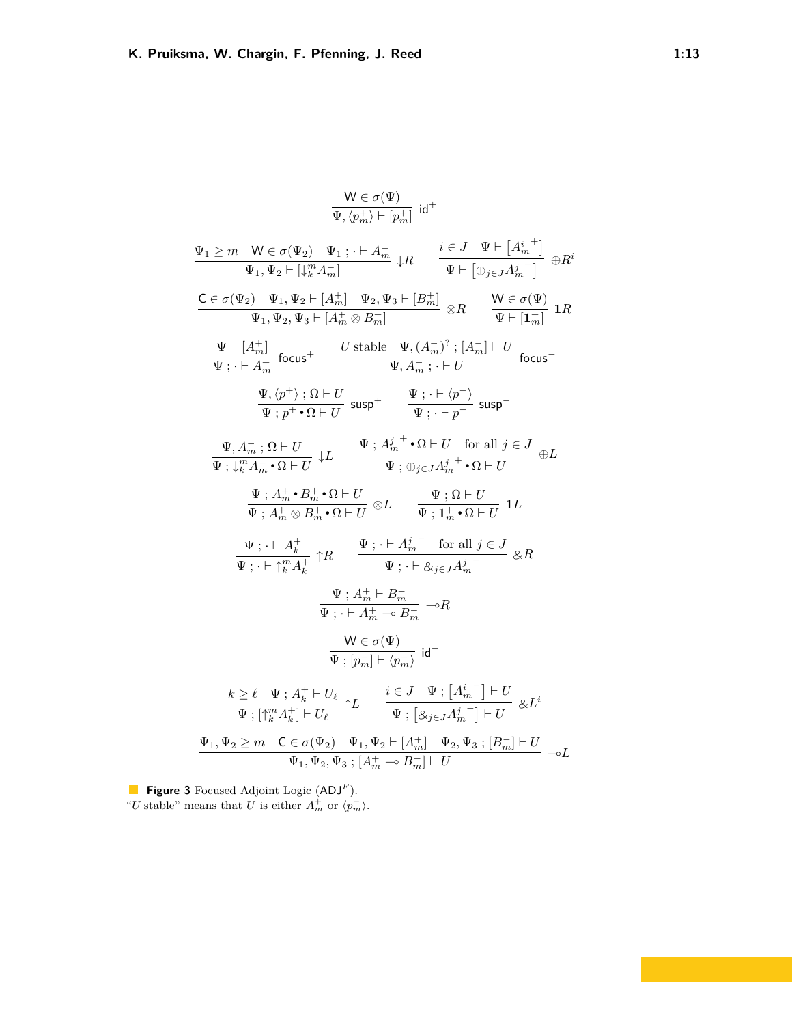<span id="page-12-0"></span>
$$
\frac{W \in \sigma(\Psi)}{\Psi, \langle p_m^+ \rangle + [p_m^+]} id^+
$$
\n
$$
\frac{\Psi_1 \ge m \quad W \in \sigma(\Psi_2) \quad \Psi_1 : \quad + A_m^-}{\Psi_1, \Psi_2 + [\downarrow_{k}^{m} A_m^-]} \quad \downarrow R \qquad \frac{i \in J \quad \Psi \vdash [A_m^{i,+}]}{\Psi \vdash [\oplus_{j \in J} A_m^{j,+}]} \oplus R^i
$$
\n
$$
\frac{C \in \sigma(\Psi_2) \quad \Psi_1, \Psi_2 \vdash [A_m^+]}{\Psi_1, \Psi_2, \Psi_3 \vdash [A_m^+]} \quad \Psi_2, \Psi_3 \vdash [B_m^+]} \otimes R \qquad \frac{W \in \sigma(\Psi)}{\Psi \vdash [1_m^+]} \quad \text{1R}
$$
\n
$$
\frac{\Psi \vdash [A_m^+]}{\Psi \vdash \vdash A_m^+} \text{ focus}^+ \qquad \frac{U \text{ stable } \Psi, (A_m^-)^2; [A_m^-] \vdash U}{\Psi, A_m^-; \quad \vdash U} \text{ focus}^-
$$
\n
$$
\frac{\Psi, \langle p^+ \rangle; \Omega \vdash U}{\Psi; p^+ \cdot \Omega \vdash U} \text{ susp}^+ \qquad \frac{\Psi \vdash \vdash [p^-]}{\Psi \vdash [p^-]} \text{ susp}^-
$$
\n
$$
\frac{\Psi, A_m^+ \cdot \Omega \vdash U}{\Psi; \mathcal{H}_m^+ \cdot \Omega \vdash U} \qquad \frac{\Psi \vdash A_m^{j+} \cdot \Omega \vdash U}{\Psi \vdash [A_m^+ \cdot \Omega \vdash U]} \quad \frac{\Psi \vdash \Omega \vdash U}{\Psi \vdash [A_m^+ \cdot \Omega \vdash U]} \quad \text{1L}
$$
\n
$$
\frac{\Psi \vdash \vdash A_m^+ \cdot \Omega \vdash U}{\Psi \vdash [A_m^+ \cdot \Omega \vdash U]} \otimes L \qquad \frac{\Psi \vdash \Omega \vdash U}{\Psi \vdash [A_m^+ \cdot \Omega \vdash U]} \quad \text{1L}
$$
\n
$$
\frac{\Psi \vdash \vdash A_m^+}{\Psi \vdash [A_m^+ \cdot \Omega \vdash U]} \quad \text{2R}
$$
\n
$$
\frac{\Psi \vdash A_m^+ \vdash
$$

**Figure 3** Focused Adjoint Logic (ADJ*<sup>F</sup>* ). "*U* stable" means that *U* is either  $A_m^+$  or  $\langle p_m^- \rangle$ .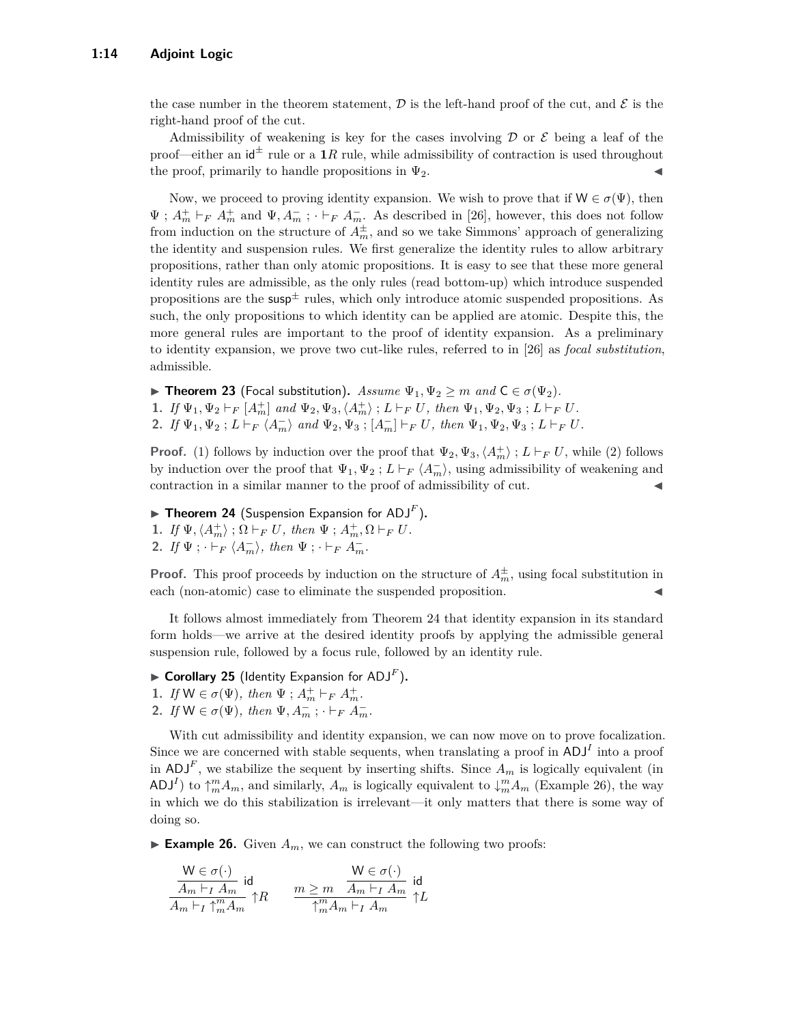the case number in the theorem statement,  $\mathcal D$  is the left-hand proof of the cut, and  $\mathcal E$  is the right-hand proof of the cut.

Admissibility of weakening is key for the cases involving  $\mathcal D$  or  $\mathcal E$  being a leaf of the proof—either an  $\mathbf{d}^{\pm}$  rule or a 1*R* rule, while admissibility of contraction is used throughout the proof, primarily to handle propositions in  $\Psi_2$ .

Now, we proceed to proving identity expansion. We wish to prove that if  $W \in \sigma(\Psi)$ , then  $\Psi$ ;  $A_m^+ \vdash_F A_m^+$  and  $\Psi$ ,  $A_m^-$ ;  $\cdot \vdash_F A_m^-$ . As described in [\[26\]](#page-16-0), however, this does not follow from induction on the structure of  $A_m^{\pm}$ , and so we take Simmons' approach of generalizing the identity and suspension rules. We first generalize the identity rules to allow arbitrary propositions, rather than only atomic propositions. It is easy to see that these more general identity rules are admissible, as the only rules (read bottom-up) which introduce suspended propositions are the  $susp^{\pm}$  rules, which only introduce atomic suspended propositions. As such, the only propositions to which identity can be applied are atomic. Despite this, the more general rules are important to the proof of identity expansion. As a preliminary to identity expansion, we prove two cut-like rules, referred to in [\[26\]](#page-16-0) as *focal substitution*, admissible.

**► Theorem 23** (Focal substitution). *Assume*  $\Psi_1, \Psi_2 \geq m$  *and*  $C \in \sigma(\Psi_2)$ *.* **1.** *If*  $\Psi_1, \Psi_2 \vdash_F [A_m^+]$  and  $\Psi_2, \Psi_3, \langle A_m^+ \rangle$  ;  $L \vdash_F U$ , then  $\Psi_1, \Psi_2, \Psi_3$  ;  $L \vdash_F U$ . **2.** *If*  $\Psi_1, \Psi_2$ ;  $L \vdash_F \langle A_m^- \rangle$  and  $\Psi_2, \Psi_3$ ;  $[A_m^-] \vdash_F U$ , then  $\Psi_1, \Psi_2, \Psi_3$ ;  $L \vdash_F U$ .

**Proof.** (1) follows by induction over the proof that  $\Psi_2, \Psi_3, \langle A_m^+ \rangle$ ;  $L \vdash_F U$ , while (2) follows by induction over the proof that  $\Psi_1, \Psi_2$ ;  $L \vdash_F \langle A_m^- \rangle$ , using admissibility of weakening and contraction in a similar manner to the proof of admissibility of cut.

<span id="page-13-0"></span>**Fineorem 24** (Suspension Expansion for  $ADJ<sup>F</sup>$ ). **1.** *If*  $\Psi$ ,  $\langle A_m^+ \rangle$ ;  $\Omega \vdash_F U$ *, then*  $\Psi$ ;  $A_m^+$ ,  $\Omega \vdash_F U$ *.* **2.** *If*  $\Psi$ ;  $\cdot \vdash_F \langle A_m^- \rangle$ , *then*  $\Psi$ ;  $\cdot \vdash_F A_m^-$ .

**Proof.** This proof proceeds by induction on the structure of  $A_m^{\pm}$ , using focal substitution in each (non-atomic) case to eliminate the suspended proposition.

It follows almost immediately from Theorem [24](#page-13-0) that identity expansion in its standard form holds—we arrive at the desired identity proofs by applying the admissible general suspension rule, followed by a focus rule, followed by an identity rule.

- $\blacktriangleright$  **Corollary 25** (Identity Expansion for ADJ<sup>F</sup>).
- **1.** *If*  $W \in \sigma(\Psi)$ *, then*  $\Psi$ ;  $A_m^+ \vdash_F A_m^+$ *.*
- **2.** *If*  $W \in \sigma(\Psi)$ *, then*  $\Psi, A_m^-$ ;  $\cdot \vdash_F A_m^-$ *.*

With cut admissibility and identity expansion, we can now move on to prove focalization. Since we are concerned with stable sequents, when translating a proof in  $ADJ<sup>I</sup>$  into a proof in  $ADJ<sup>F</sup>$ , we stabilize the sequent by inserting shifts. Since  $A<sub>m</sub>$  is logically equivalent (in ADJ<sup>*I*</sup>) to  $\uparrow_m^m A_m$ , and similarly,  $A_m$  is logically equivalent to  $\downarrow_m^m A_m$  (Example [26\)](#page-13-1), the way in which we do this stabilization is irrelevant—it only matters that there is some way of doing so.

<span id="page-13-1"></span>**Example 26.** Given  $A_m$ , we can construct the following two proofs:

$$
\frac{\mathsf{W}\in\sigma(\cdot)}{A_m\vdash_I A_m}\mathsf{id}\newline_{A_m\vdash_I \uparrow^m_m A_m}\uparrow\!\!R \qquad \frac{m\ge m}{\uparrow^m_m A_m\vdash_I A_m}\mathsf{id}\newline_{\uparrow\!m} \uparrow\!\!L
$$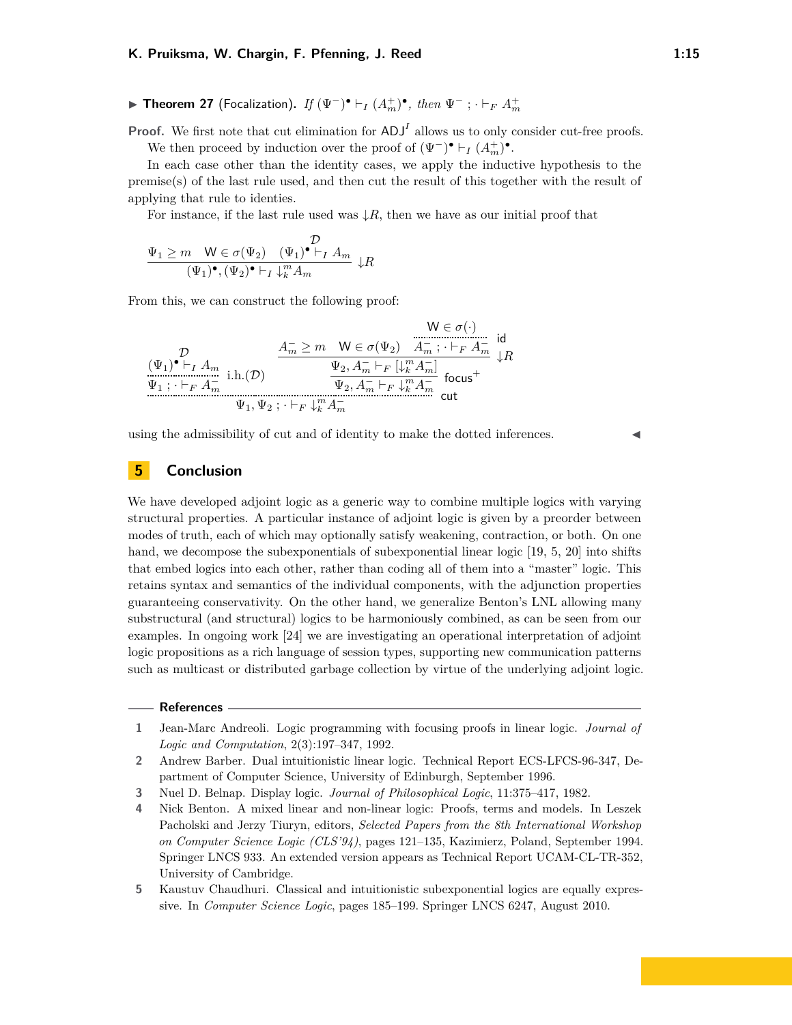**► Theorem 27** (Focalization). *If*  $(\Psi^{-})^{\bullet}$   $\vdash_I (A_m^{+})^{\bullet}$ , then  $\Psi^{-}$ ;  $\vdash_F A_m^{+}$ 

**Proof.** We first note that cut elimination for  $ADJ<sup>I</sup>$  allows us to only consider cut-free proofs. We then proceed by induction over the proof of  $(\Psi^-) \bullet \vdash_I (A_m^+) \bullet$ .

In each case other than the identity cases, we apply the inductive hypothesis to the premise(s) of the last rule used, and then cut the result of this together with the result of applying that rule to identies.

For instance, if the last rule used was  $\downarrow R$ , then we have as our initial proof that

$$
\frac{\Psi_1 \ge m \quad W \in \sigma(\Psi_2) \quad (\Psi_1)^{\bullet} \vdash_I A_m}{(\Psi_1)^{\bullet}, (\Psi_2)^{\bullet} \vdash_I \downarrow_k^m A_m} \downarrow R
$$

From this, we can construct the following proof:

$$
\begin{array}{c}\mathcal{D} \\ (\Psi_1) \bullet \vdash_I A_m \\ \hline \\ \Psi_1\,;\, \cdot \vdash_F A_m^- \text{ i.h.}(\mathcal{D}) \end{array} \xrightarrow{\begin{array}{c} A_m^-\geq m\quad \mathsf{W}\in \sigma(\Psi_2) \quad A_m^-\,;\, \cdot \vdash_F A_m^- \text{ id} \\ \hline \\ \Psi_2, A_m^-\vdash_F [\downarrow^m_k A_m^-] \\ \hline \\ \Psi_2, A_m^-\vdash_F \downarrow^m_k A_m^- \text{ focus}^+ \end{array} } \mathsf{tR}
$$

using the admissibility of cut and of identity to make the dotted inferences.

## **5 Conclusion**

We have developed adjoint logic as a generic way to combine multiple logics with varying structural properties. A particular instance of adjoint logic is given by a preorder between modes of truth, each of which may optionally satisfy weakening, contraction, or both. On one hand, we decompose the subexponentials of subexponential linear logic [\[19,](#page-15-3) [5,](#page-14-3) [20\]](#page-15-17) into shifts that embed logics into each other, rather than coding all of them into a "master" logic. This retains syntax and semantics of the individual components, with the adjunction properties guaranteeing conservativity. On the other hand, we generalize Benton's LNL allowing many substructural (and structural) logics to be harmoniously combined, as can be seen from our examples. In ongoing work [\[24\]](#page-15-13) we are investigating an operational interpretation of adjoint logic propositions as a rich language of session types, supporting new communication patterns such as multicast or distributed garbage collection by virtue of the underlying adjoint logic.

#### **References**

- <span id="page-14-1"></span>**1** Jean-Marc Andreoli. Logic programming with focusing proofs in linear logic. *Journal of Logic and Computation*, 2(3):197–347, 1992.
- <span id="page-14-2"></span>**2** Andrew Barber. Dual intuitionistic linear logic. Technical Report ECS-LFCS-96-347, Department of Computer Science, University of Edinburgh, September 1996.
- <span id="page-14-4"></span>**3** Nuel D. Belnap. Display logic. *Journal of Philosophical Logic*, 11:375–417, 1982.
- <span id="page-14-0"></span>**4** Nick Benton. A mixed linear and non-linear logic: Proofs, terms and models. In Leszek Pacholski and Jerzy Tiuryn, editors, *Selected Papers from the 8th International Workshop on Computer Science Logic (CLS'94)*, pages 121–135, Kazimierz, Poland, September 1994. Springer LNCS 933. An extended version appears as Technical Report UCAM-CL-TR-352, University of Cambridge.
- <span id="page-14-3"></span>**5** Kaustuv Chaudhuri. Classical and intuitionistic subexponential logics are equally expressive. In *Computer Science Logic*, pages 185–199. Springer LNCS 6247, August 2010.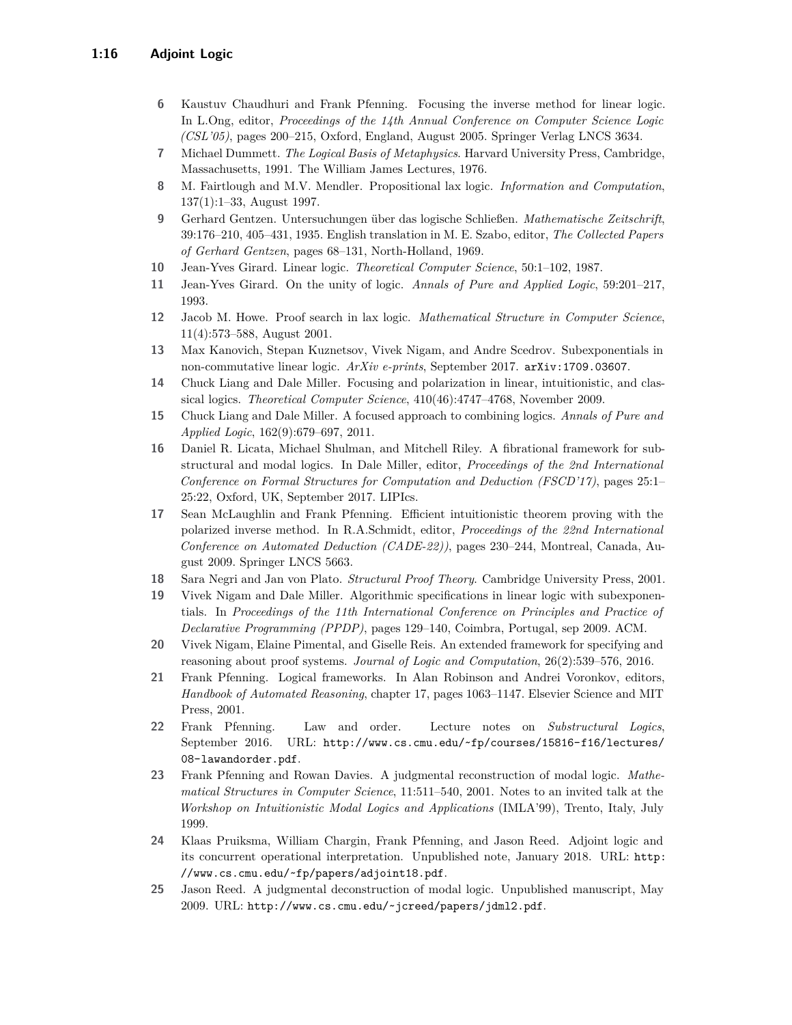- <span id="page-15-5"></span>**6** Kaustuv Chaudhuri and Frank Pfenning. Focusing the inverse method for linear logic. In L.Ong, editor, *Proceedings of the 14th Annual Conference on Computer Science Logic (CSL'05)*, pages 200–215, Oxford, England, August 2005. Springer Verlag LNCS 3634.
- <span id="page-15-2"></span>**7** Michael Dummett. *The Logical Basis of Metaphysics*. Harvard University Press, Cambridge, Massachusetts, 1991. The William James Lectures, 1976.
- <span id="page-15-8"></span>**8** M. Fairtlough and M.V. Mendler. Propositional lax logic. *Information and Computation*, 137(1):1–33, August 1997.
- <span id="page-15-1"></span>**9** Gerhard Gentzen. Untersuchungen über das logische Schließen. *Mathematische Zeitschrift*, 39:176–210, 405–431, 1935. English translation in M. E. Szabo, editor, *The Collected Papers of Gerhard Gentzen*, pages 68–131, North-Holland, 1969.
- <span id="page-15-0"></span>**10** Jean-Yves Girard. Linear logic. *Theoretical Computer Science*, 50:1–102, 1987.
- <span id="page-15-11"></span>**11** Jean-Yves Girard. On the unity of logic. *Annals of Pure and Applied Logic*, 59:201–217, 1993.
- <span id="page-15-9"></span>**12** Jacob M. Howe. Proof search in lax logic. *Mathematical Structure in Computer Science*, 11(4):573–588, August 2001.
- <span id="page-15-10"></span>**13** Max Kanovich, Stepan Kuznetsov, Vivek Nigam, and Andre Scedrov. Subexponentials in non-commutative linear logic. *ArXiv e-prints*, September 2017. [arXiv:1709.03607](http://arxiv.org/abs/1709.03607).
- <span id="page-15-18"></span>**14** Chuck Liang and Dale Miller. Focusing and polarization in linear, intuitionistic, and classical logics. *Theoretical Computer Science*, 410(46):4747–4768, November 2009.
- <span id="page-15-12"></span>**15** Chuck Liang and Dale Miller. A focused approach to combining logics. *Annals of Pure and Applied Logic*, 162(9):679–697, 2011.
- <span id="page-15-14"></span>**16** Daniel R. Licata, Michael Shulman, and Mitchell Riley. A fibrational framework for substructural and modal logics. In Dale Miller, editor, *Proceedings of the 2nd International Conference on Formal Structures for Computation and Deduction (FSCD'17)*, pages 25:1– 25:22, Oxford, UK, September 2017. LIPIcs.
- <span id="page-15-6"></span>**17** Sean McLaughlin and Frank Pfenning. Efficient intuitionistic theorem proving with the polarized inverse method. In R.A.Schmidt, editor, *Proceedings of the 22nd International Conference on Automated Deduction (CADE-22))*, pages 230–244, Montreal, Canada, August 2009. Springer LNCS 5663.
- <span id="page-15-16"></span>**18** Sara Negri and Jan von Plato. *Structural Proof Theory*. Cambridge University Press, 2001.
- <span id="page-15-3"></span>**19** Vivek Nigam and Dale Miller. Algorithmic specifications in linear logic with subexponentials. In *Proceedings of the 11th International Conference on Principles and Practice of Declarative Programming (PPDP)*, pages 129–140, Coimbra, Portugal, sep 2009. ACM.
- <span id="page-15-17"></span>**20** Vivek Nigam, Elaine Pimental, and Giselle Reis. An extended framework for specifying and reasoning about proof systems. *Journal of Logic and Computation*, 26(2):539–576, 2016.
- <span id="page-15-4"></span>**21** Frank Pfenning. Logical frameworks. In Alan Robinson and Andrei Voronkov, editors, *Handbook of Automated Reasoning*, chapter 17, pages 1063–1147. Elsevier Science and MIT Press, 2001.
- **22** Frank Pfenning. Law and order. Lecture notes on *Substructural Logics*, September 2016. URL: [http://www.cs.cmu.edu/~fp/courses/15816-f16/lectures/](http://www.cs.cmu.edu/~fp/courses/15816-f16/lectures/08-lawandorder.pdf) [08-lawandorder.pdf](http://www.cs.cmu.edu/~fp/courses/15816-f16/lectures/08-lawandorder.pdf).
- <span id="page-15-7"></span>**23** Frank Pfenning and Rowan Davies. A judgmental reconstruction of modal logic. *Mathematical Structures in Computer Science*, 11:511–540, 2001. Notes to an invited talk at the *Workshop on Intuitionistic Modal Logics and Applications* (IMLA'99), Trento, Italy, July 1999.
- <span id="page-15-13"></span>**24** Klaas Pruiksma, William Chargin, Frank Pfenning, and Jason Reed. Adjoint logic and its concurrent operational interpretation. Unpublished note, January 2018. URL: [http:](http://www.cs.cmu.edu/~fp/papers/adjoint18.pdf) [//www.cs.cmu.edu/~fp/papers/adjoint18.pdf](http://www.cs.cmu.edu/~fp/papers/adjoint18.pdf).
- <span id="page-15-15"></span>**25** Jason Reed. A judgmental deconstruction of modal logic. Unpublished manuscript, May 2009. URL: <http://www.cs.cmu.edu/~jcreed/papers/jdml2.pdf>.